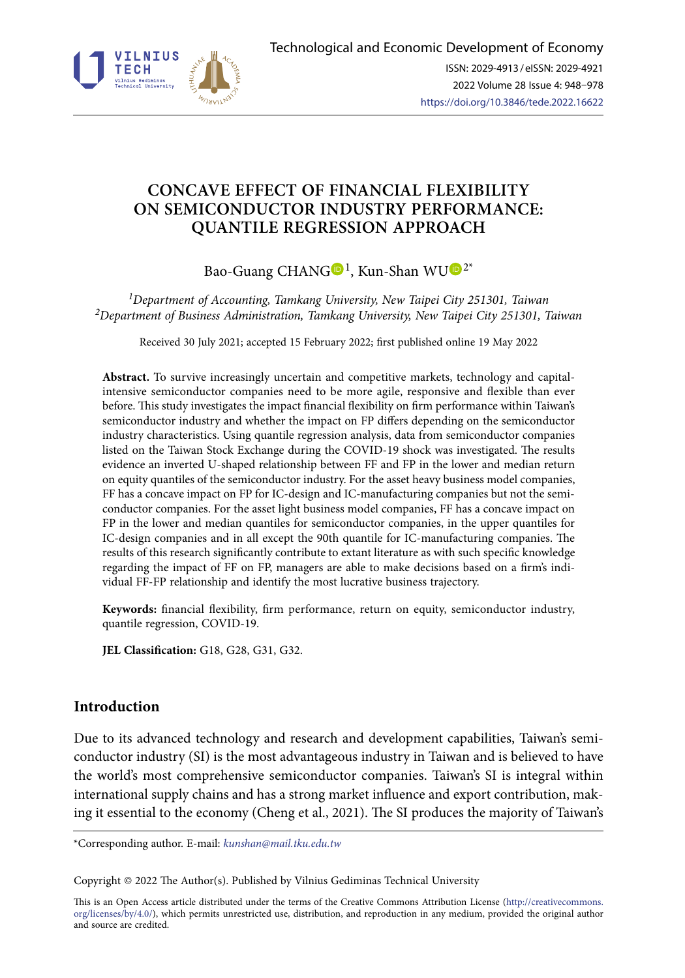

# **CONCAVE EFFECT OF FINANCIAL FLEXIBILITY ON SEMICONDUCTOR INDUSTRY PERFORMANCE: QUANTILE REGRESSION APPROACH**

Bao-Guang CHANG $\bigcirc$ <sup>[1](https://orcid.org/0000-0001-9352-8012)</sup>, Kun-Shan W[U](https://orcid.org/0000-0001-9550-8840) $\bigcirc$ <sup>2\*</sup>

*1Department of Accounting, Tamkang University, New Taipei City 251301, Taiwan 2Department of Business Administration, Tamkang University, New Taipei City 251301, Taiwan*

Received 30 July 2021; accepted 15 February 2022; first published online 19 May 2022

**Abstract.** To survive increasingly uncertain and competitive markets, technology and capitalintensive semiconductor companies need to be more agile, responsive and flexible than ever before. This study investigates the impact financial flexibility on firm performance within Taiwan's semiconductor industry and whether the impact on FP differs depending on the semiconductor industry characteristics. Using quantile regression analysis, data from semiconductor companies listed on the Taiwan Stock Exchange during the COVID-19 shock was investigated. The results evidence an inverted U-shaped relationship between FF and FP in the lower and median return on equity quantiles of the semiconductor industry. For the asset heavy business model companies, FF has a concave impact on FP for IC-design and IC-manufacturing companies but not the semiconductor companies. For the asset light business model companies, FF has a concave impact on FP in the lower and median quantiles for semiconductor companies, in the upper quantiles for IC-design companies and in all except the 90th quantile for IC-manufacturing companies. The results of this research significantly contribute to extant literature as with such specific knowledge regarding the impact of FF on FP, managers are able to make decisions based on a firm's individual FF-FP relationship and identify the most lucrative business trajectory.

**Keywords:** financial flexibility, firm performance, return on equity, semiconductor industry, quantile regression, COVID-19.

**JEL Classification:** G18, G28, G31, G32.

## **Introduction**

Due to its advanced technology and research and development capabilities, Taiwan's semiconductor industry (SI) is the most advantageous industry in Taiwan and is believed to have the world's most comprehensive semiconductor companies. Taiwan's SI is integral within international supply chains and has a strong market influence and export contribution, making it essential to the economy (Cheng et al., 2021). The SI produces the majority of Taiwan's

\*Corresponding author. E-mail: *[kunshan@mail.tku.edu.tw](mailto:kunshan@mail.tku.edu.tw)*

Copyright © 2022 The Author(s). Published by Vilnius Gediminas Technical University

This is an Open Access article distributed under the terms of the Creative Commons Attribution License ([http://creativecommons.](http://creativecommons.org/licenses/by/4.0/) [org/licenses/by/4.0/\)](http://creativecommons.org/licenses/by/4.0/), which permits unrestricted use, distribution, and reproduction in any medium, provided the original author and source are credited.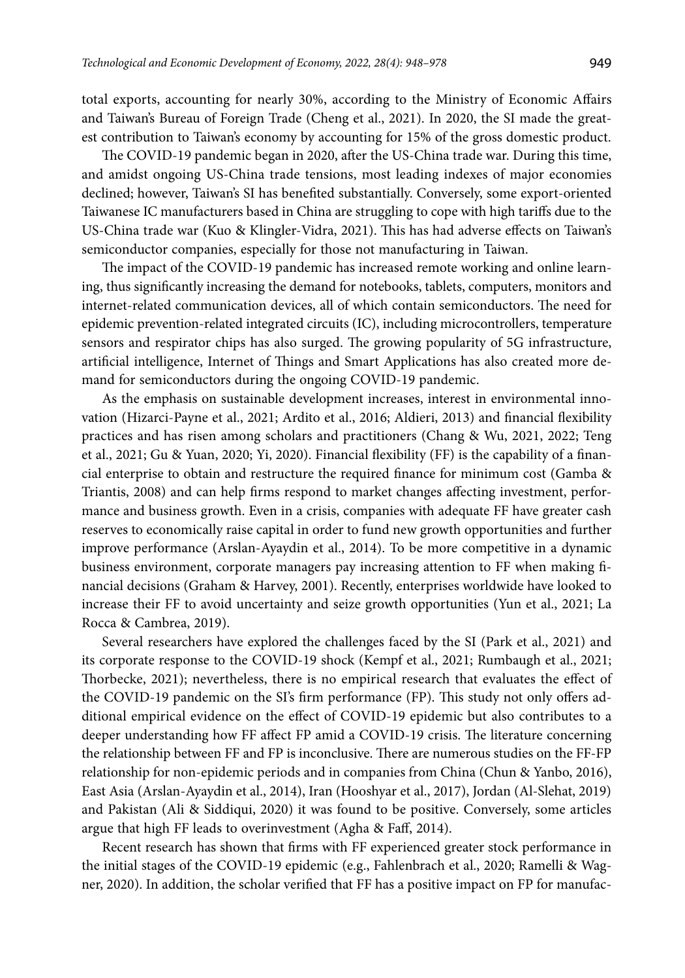total exports, accounting for nearly 30%, according to the Ministry of Economic Affairs and Taiwan's Bureau of Foreign Trade (Cheng et al., 2021). In 2020, the SI made the greatest contribution to Taiwan's economy by accounting for 15% of the gross domestic product.

The COVID-19 pandemic began in 2020, after the US-China trade war. During this time, and amidst ongoing US-China trade tensions, most leading indexes of major economies declined; however, Taiwan's SI has benefited substantially. Conversely, some export-oriented Taiwanese IC manufacturers based in China are struggling to cope with high tariffs due to the US-China trade war (Kuo & Klingler-Vidra, 2021). This has had adverse effects on Taiwan's semiconductor companies, especially for those not manufacturing in Taiwan.

The impact of the COVID-19 pandemic has increased remote working and online learning, thus significantly increasing the demand for notebooks, tablets, computers, monitors and internet-related communication devices, all of which contain semiconductors. The need for epidemic prevention-related integrated circuits (IC), including microcontrollers, temperature sensors and respirator chips has also surged. The growing popularity of 5G infrastructure, artificial intelligence, Internet of Things and Smart Applications has also created more demand for semiconductors during the ongoing COVID-19 pandemic.

As the emphasis on sustainable development increases, interest in environmental innovation (Hizarci-Payne et al., 2021; Ardito et al., 2016; Aldieri, 2013) and financial flexibility practices and has risen among scholars and practitioners (Chang & Wu, 2021, 2022; Teng et al., 2021; Gu & Yuan, 2020; Yi, 2020). Financial flexibility (FF) is the capability of a financial enterprise to obtain and restructure the required finance for minimum cost (Gamba & Triantis, 2008) and can help firms respond to market changes affecting investment, performance and business growth. Even in a crisis, companies with adequate FF have greater cash reserves to economically raise capital in order to fund new growth opportunities and further improve performance (Arslan-Ayaydin et al., 2014). To be more competitive in a dynamic business environment, corporate managers pay increasing attention to FF when making financial decisions (Graham & Harvey, 2001). Recently, enterprises worldwide have looked to increase their FF to avoid uncertainty and seize growth opportunities (Yun et al., 2021; La Rocca & Cambrea, 2019).

Several researchers have explored the challenges faced by the SI (Park et al., 2021) and its corporate response to the COVID-19 shock (Kempf et al., 2021; Rumbaugh et al., 2021; Thorbecke, 2021); nevertheless, there is no empirical research that evaluates the effect of the COVID-19 pandemic on the SI's firm performance (FP). This study not only offers additional empirical evidence on the effect of COVID-19 epidemic but also contributes to a deeper understanding how FF affect FP amid a COVID-19 crisis. The literature concerning the relationship between FF and FP is inconclusive. There are numerous studies on the FF-FP relationship for non-epidemic periods and in companies from China (Chun & Yanbo, 2016), East Asia (Arslan-Ayaydin et al., 2014), Iran (Hooshyar et al., 2017), Jordan (Al-Slehat, 2019) and Pakistan (Ali & Siddiqui, 2020) it was found to be positive. Conversely, some articles argue that high FF leads to overinvestment (Agha & Faff, 2014).

Recent research has shown that firms with FF experienced greater stock performance in the initial stages of the COVID-19 epidemic (e.g., Fahlenbrach et al., 2020; Ramelli & Wagner, 2020). In addition, the scholar verified that FF has a positive impact on FP for manufac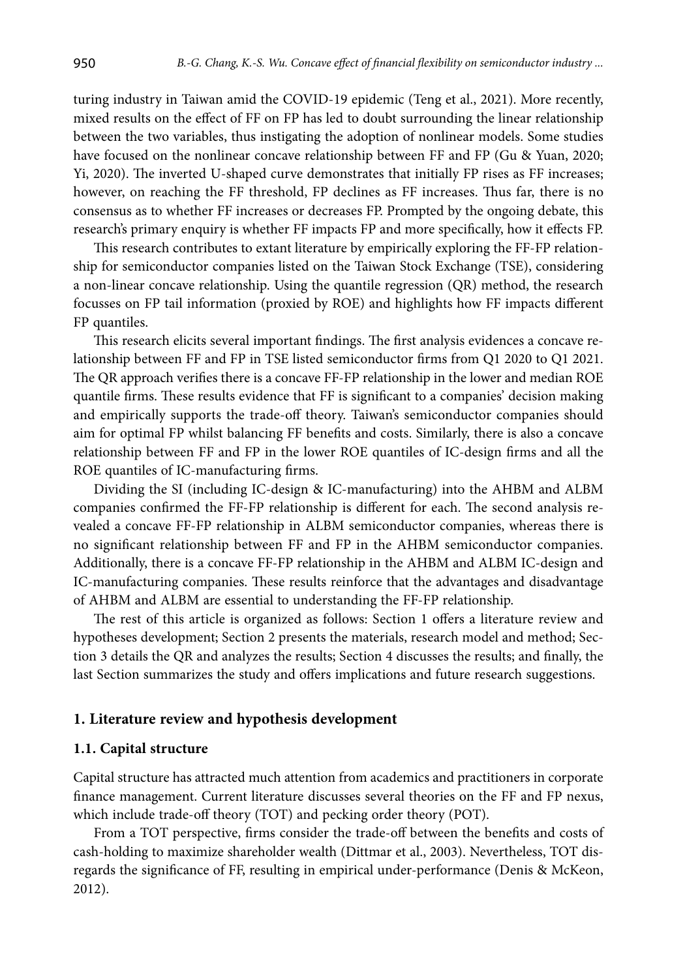turing industry in Taiwan amid the COVID-19 epidemic (Teng et al., 2021). More recently, mixed results on the effect of FF on FP has led to doubt surrounding the linear relationship between the two variables, thus instigating the adoption of nonlinear models. Some studies have focused on the nonlinear concave relationship between FF and FP (Gu & Yuan, 2020; Yi, 2020). The inverted U-shaped curve demonstrates that initially FP rises as FF increases; however, on reaching the FF threshold, FP declines as FF increases. Thus far, there is no consensus as to whether FF increases or decreases FP. Prompted by the ongoing debate, this research's primary enquiry is whether FF impacts FP and more specifically, how it effects FP.

This research contributes to extant literature by empirically exploring the FF-FP relationship for semiconductor companies listed on the Taiwan Stock Exchange (TSE), considering a non-linear concave relationship. Using the quantile regression (QR) method, the research focusses on FP tail information (proxied by ROE) and highlights how FF impacts different FP quantiles.

This research elicits several important findings. The first analysis evidences a concave relationship between FF and FP in TSE listed semiconductor firms from Q1 2020 to Q1 2021. The QR approach verifies there is a concave FF-FP relationship in the lower and median ROE quantile firms. These results evidence that FF is significant to a companies' decision making and empirically supports the trade-off theory. Taiwan's semiconductor companies should aim for optimal FP whilst balancing FF benefits and costs. Similarly, there is also a concave relationship between FF and FP in the lower ROE quantiles of IC-design firms and all the ROE quantiles of IC-manufacturing firms.

Dividing the SI (including IC-design & IC-manufacturing) into the AHBM and ALBM companies confirmed the FF-FP relationship is different for each. The second analysis revealed a concave FF-FP relationship in ALBM semiconductor companies, whereas there is no significant relationship between FF and FP in the AHBM semiconductor companies. Additionally, there is a concave FF-FP relationship in the AHBM and ALBM IC-design and IC-manufacturing companies. These results reinforce that the advantages and disadvantage of AHBM and ALBM are essential to understanding the FF-FP relationship.

The rest of this article is organized as follows: Section 1 offers a literature review and hypotheses development; Section 2 presents the materials, research model and method; Section 3 details the QR and analyzes the results; Section 4 discusses the results; and finally, the last Section summarizes the study and offers implications and future research suggestions.

### **1. Literature review and hypothesis development**

#### **1.1. Capital structure**

Capital structure has attracted much attention from academics and practitioners in corporate finance management. Current literature discusses several theories on the FF and FP nexus, which include trade-off theory (TOT) and pecking order theory (POT).

From a TOT perspective, firms consider the trade-off between the benefits and costs of cash-holding to maximize shareholder wealth (Dittmar et al., 2003). Nevertheless, TOT disregards the significance of FF, resulting in empirical under-performance (Denis & McKeon, 2012).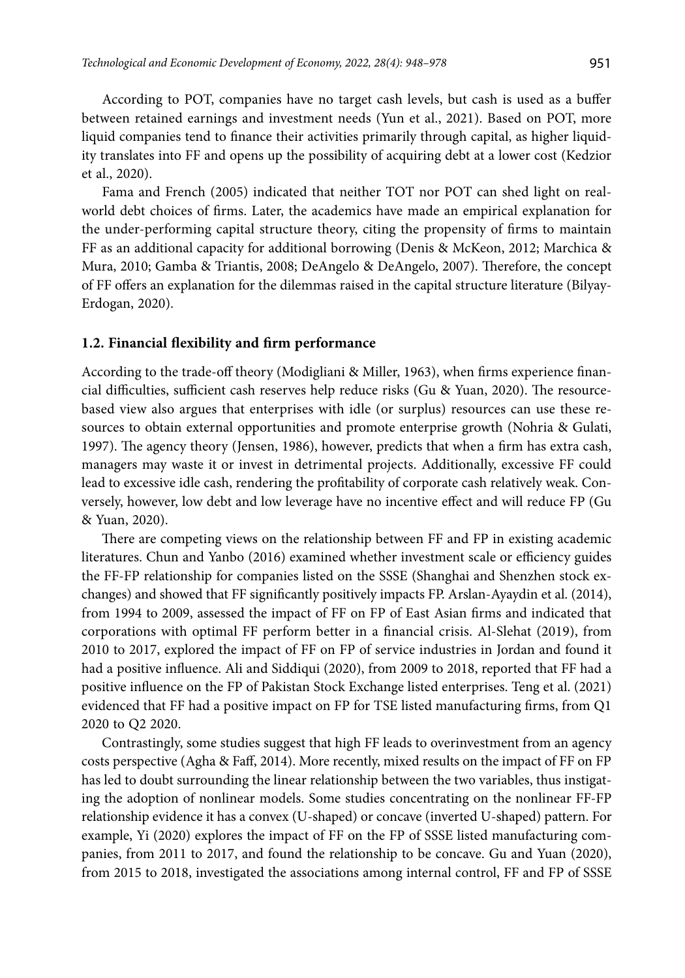According to POT, companies have no target cash levels, but cash is used as a buffer between retained earnings and investment needs (Yun et al., 2021). Based on POT, more liquid companies tend to finance their activities primarily through capital, as higher liquidity translates into FF and opens up the possibility of acquiring debt at a lower cost (Kedzior et al., 2020).

Fama and French (2005) indicated that neither TOT nor POT can shed light on realworld debt choices of firms. Later, the academics have made an empirical explanation for the under-performing capital structure theory, citing the propensity of firms to maintain FF as an additional capacity for additional borrowing (Denis & McKeon, 2012; Marchica & Mura, 2010; Gamba & Triantis, 2008; DeAngelo & DeAngelo, 2007). Therefore, the concept of FF offers an explanation for the dilemmas raised in the capital structure literature (Bilyay-Erdogan, 2020).

#### **1.2. Financial flexibility and firm performance**

According to the trade-off theory (Modigliani & Miller, 1963), when firms experience financial difficulties, sufficient cash reserves help reduce risks (Gu & Yuan, 2020). The resourcebased view also argues that enterprises with idle (or surplus) resources can use these resources to obtain external opportunities and promote enterprise growth (Nohria & Gulati, 1997). The agency theory (Jensen, 1986), however, predicts that when a firm has extra cash, managers may waste it or invest in detrimental projects. Additionally, excessive FF could lead to excessive idle cash, rendering the profitability of corporate cash relatively weak. Conversely, however, low debt and low leverage have no incentive effect and will reduce FP (Gu & Yuan, 2020).

There are competing views on the relationship between FF and FP in existing academic literatures. Chun and Yanbo (2016) examined whether investment scale or efficiency guides the FF-FP relationship for companies listed on the SSSE (Shanghai and Shenzhen stock exchanges) and showed that FF significantly positively impacts FP. Arslan-Ayaydin et al. (2014), from 1994 to 2009, assessed the impact of FF on FP of East Asian firms and indicated that corporations with optimal FF perform better in a financial crisis. Al-Slehat (2019), from 2010 to 2017, explored the impact of FF on FP of service industries in Jordan and found it had a positive influence. Ali and Siddiqui (2020), from 2009 to 2018, reported that FF had a positive influence on the FP of Pakistan Stock Exchange listed enterprises. Teng et al. (2021) evidenced that FF had a positive impact on FP for TSE listed manufacturing firms, from Q1 2020 to Q2 2020.

Contrastingly, some studies suggest that high FF leads to overinvestment from an agency costs perspective (Agha & Faff, 2014). More recently, mixed results on the impact of FF on FP has led to doubt surrounding the linear relationship between the two variables, thus instigating the adoption of nonlinear models. Some studies concentrating on the nonlinear FF-FP relationship evidence it has a convex (U-shaped) or concave (inverted U-shaped) pattern. For example, Yi (2020) explores the impact of FF on the FP of SSSE listed manufacturing companies, from 2011 to 2017, and found the relationship to be concave. Gu and Yuan (2020), from 2015 to 2018, investigated the associations among internal control, FF and FP of SSSE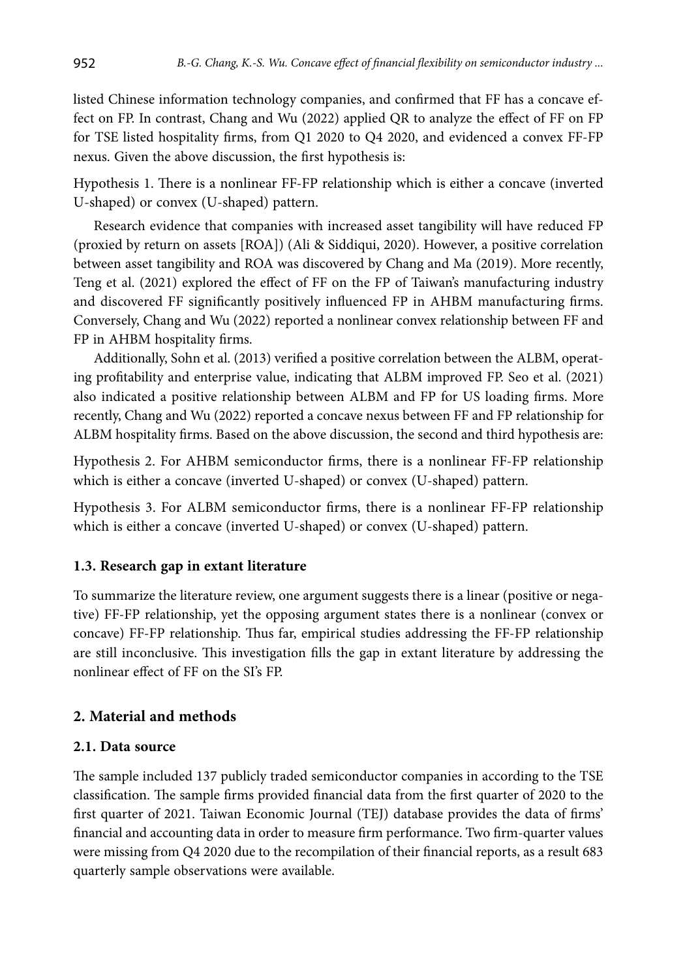listed Chinese information technology companies, and confirmed that FF has a concave effect on FP. In contrast, Chang and Wu (2022) applied QR to analyze the effect of FF on FP for TSE listed hospitality firms, from Q1 2020 to Q4 2020, and evidenced a convex FF-FP nexus. Given the above discussion, the first hypothesis is:

Hypothesis 1. There is a nonlinear FF-FP relationship which is either a concave (inverted U-shaped) or convex (U-shaped) pattern.

Research evidence that companies with increased asset tangibility will have reduced FP (proxied by return on assets [ROA]) (Ali & Siddiqui, 2020). However, a positive correlation between asset tangibility and ROA was discovered by Chang and Ma (2019). More recently, Teng et al. (2021) explored the effect of FF on the FP of Taiwan's manufacturing industry and discovered FF significantly positively influenced FP in AHBM manufacturing firms. Conversely, Chang and Wu (2022) reported a nonlinear convex relationship between FF and FP in AHBM hospitality firms.

Additionally, Sohn et al. (2013) verified a positive correlation between the ALBM, operating profitability and enterprise value, indicating that ALBM improved FP. Seo et al. (2021) also indicated a positive relationship between ALBM and FP for US loading firms. More recently, Chang and Wu (2022) reported a concave nexus between FF and FP relationship for ALBM hospitality firms. Based on the above discussion, the second and third hypothesis are:

Hypothesis 2. For AHBM semiconductor firms, there is a nonlinear FF-FP relationship which is either a concave (inverted U-shaped) or convex (U-shaped) pattern.

Hypothesis 3. For ALBM semiconductor firms, there is a nonlinear FF-FP relationship which is either a concave (inverted U-shaped) or convex (U-shaped) pattern.

## **1.3. Research gap in extant literature**

To summarize the literature review, one argument suggests there is a linear (positive or negative) FF-FP relationship, yet the opposing argument states there is a nonlinear (convex or concave) FF-FP relationship. Thus far, empirical studies addressing the FF-FP relationship are still inconclusive. This investigation fills the gap in extant literature by addressing the nonlinear effect of FF on the SI's FP.

## **2. Material and methods**

### **2.1. Data source**

The sample included 137 publicly traded semiconductor companies in according to the TSE classification. The sample firms provided financial data from the first quarter of 2020 to the first quarter of 2021. Taiwan Economic Journal (TEJ) database provides the data of firms' financial and accounting data in order to measure firm performance. Two firm-quarter values were missing from Q4 2020 due to the recompilation of their financial reports, as a result 683 quarterly sample observations were available.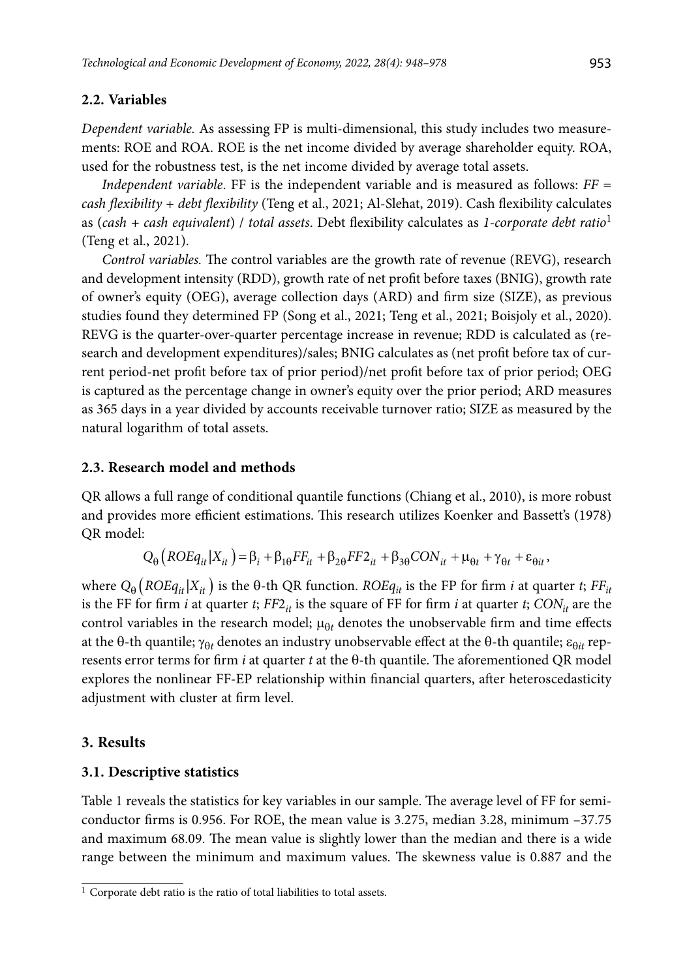### **2.2. Variables**

*Dependent variable.* As assessing FP is multi-dimensional, this study includes two measurements: ROE and ROA. ROE is the net income divided by average shareholder equity. ROA, used for the robustness test, is the net income divided by average total assets.

*Independent variable*. FF is the independent variable and is measured as follows: *FF = cash flexibility + debt flexibility* (Teng et al., 2021; Al-Slehat, 2019). Cash flexibility calculates as (*cash + cash equivalent*) / *total assets*. Debt flexibility calculates as *1-corporate debt ratio*<sup>1</sup> (Teng et al., 2021).

*Control variables.* The control variables are the growth rate of revenue (REVG), research and development intensity (RDD), growth rate of net profit before taxes (BNIG), growth rate of owner's equity (OEG), average collection days (ARD) and firm size (SIZE), as previous studies found they determined FP (Song et al., 2021; Teng et al., 2021; Boisjoly et al., 2020). REVG is the quarter-over-quarter percentage increase in revenue; RDD is calculated as (research and development expenditures)/sales; BNIG calculates as (net profit before tax of current period-net profit before tax of prior period)/net profit before tax of prior period; OEG is captured as the percentage change in owner's equity over the prior period; ARD measures as 365 days in a year divided by accounts receivable turnover ratio; SIZE as measured by the natural logarithm of total assets.

### **2.3. Research model and methods**

QR allows a full range of conditional quantile functions (Chiang et al., 2010), is more robust and provides more efficient estimations. This research utilizes Koenker and Bassett's (1978) QR model:

$$
Q_{\theta}\left(ROEq_{it}|X_{it}\right) = \beta_i + \beta_{1\theta} FF_{it} + \beta_{2\theta} FF_{it} + \beta_{3\theta}CON_{it} + \mu_{\theta t} + \gamma_{\theta t} + \varepsilon_{\theta it},
$$

where  $Q_{\theta}$  (*ROEq<sub>it</sub>* |  $X_{it}$ ) is the  $\theta$ -th QR function. *ROEq<sub>it</sub>* is the FP for firm *i* at quarter *t*; *FF<sub>it</sub>* is the FF for firm *i* at quarter *t*;  $FF2<sub>it</sub>$  is the square of FF for firm *i* at quarter *t*;  $CON<sub>it</sub>$  are the control variables in the research model;  $\mu_{\theta t}$  denotes the unobservable firm and time effects at the  $\theta$ -th quantile;  $\gamma_{\theta t}$  denotes an industry unobservable effect at the  $\theta$ -th quantile;  $\varepsilon_{\theta it}$  represents error terms for firm *i* at quarter *t* at the  $\theta$ -th quantile. The aforementioned QR model explores the nonlinear FF-EP relationship within financial quarters, after heteroscedasticity adjustment with cluster at firm level.

### **3. Results**

#### **3.1. Descriptive statistics**

Table 1 reveals the statistics for key variables in our sample. The average level of FF for semiconductor firms is 0.956. For ROE, the mean value is 3.275, median 3.28, minimum –37.75 and maximum 68.09. The mean value is slightly lower than the median and there is a wide range between the minimum and maximum values. The skewness value is 0.887 and the

 $\frac{1}{1}$  Corporate debt ratio is the ratio of total liabilities to total assets.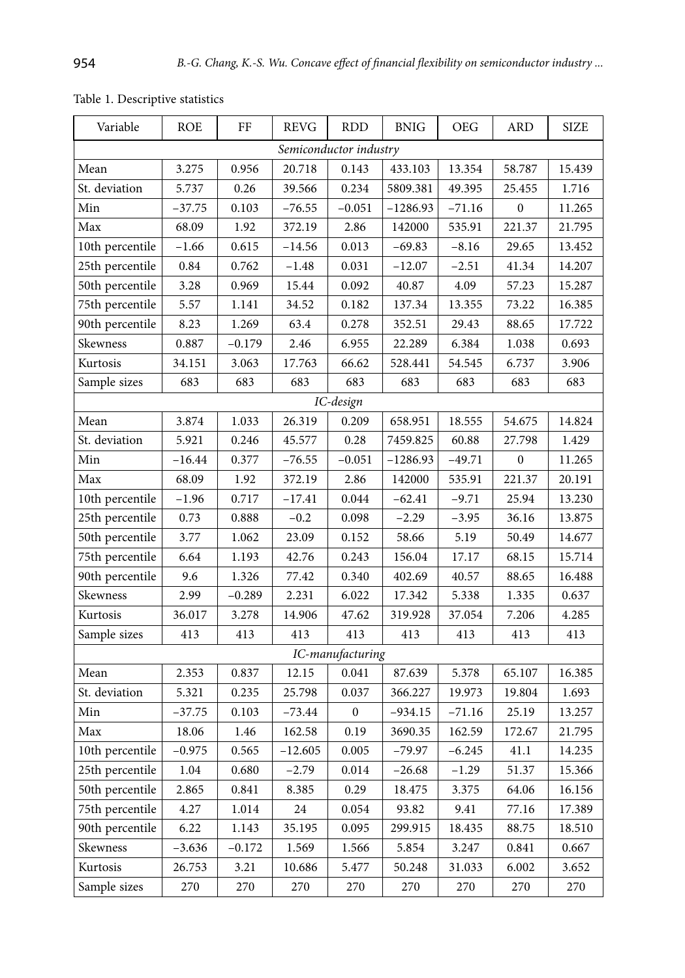| Variable        | <b>ROE</b> | FF       | <b>REVG</b> | <b>RDD</b>             | <b>BNIG</b> | <b>OEG</b> | <b>ARD</b>       | <b>SIZE</b> |
|-----------------|------------|----------|-------------|------------------------|-------------|------------|------------------|-------------|
|                 |            |          |             | Semiconductor industry |             |            |                  |             |
| Mean            | 3.275      | 0.956    | 20.718      | 0.143                  | 433.103     | 13.354     | 58.787           | 15.439      |
| St. deviation   | 5.737      | 0.26     | 39.566      | 0.234                  | 5809.381    | 49.395     | 25.455           | 1.716       |
| Min             | $-37.75$   | 0.103    | $-76.55$    | $-0.051$               | $-1286.93$  | $-71.16$   | $\boldsymbol{0}$ | 11.265      |
| Max             | 68.09      | 1.92     | 372.19      | 2.86                   | 142000      | 535.91     | 221.37           | 21.795      |
| 10th percentile | $-1.66$    | 0.615    | $-14.56$    | 0.013                  | -69.83      | $-8.16$    | 29.65            | 13.452      |
| 25th percentile | 0.84       | 0.762    | -1.48       | 0.031                  | $-12.07$    | $-2.51$    | 41.34            | 14.207      |
| 50th percentile | 3.28       | 0.969    | 15.44       | 0.092                  | 40.87       | 4.09       | 57.23            | 15.287      |
| 75th percentile | 5.57       | 1.141    | 34.52       | 0.182                  | 137.34      | 13.355     | 73.22            | 16.385      |
| 90th percentile | 8.23       | 1.269    | 63.4        | 0.278                  | 352.51      | 29.43      | 88.65            | 17.722      |
| Skewness        | 0.887      | -0.179   | 2.46        | 6.955                  | 22.289      | 6.384      | 1.038            | 0.693       |
| Kurtosis        | 34.151     | 3.063    | 17.763      | 66.62                  | 528.441     | 54.545     | 6.737            | 3.906       |
| Sample sizes    | 683        | 683      | 683         | 683                    | 683         | 683        | 683              | 683         |
| IC-design       |            |          |             |                        |             |            |                  |             |
| Mean            | 3.874      | 1.033    | 26.319      | 0.209                  | 658.951     | 18.555     | 54.675           | 14.824      |
| St. deviation   | 5.921      | 0.246    | 45.577      | 0.28                   | 7459.825    | 60.88      | 27.798           | 1.429       |
| Min             | -16.44     | 0.377    | -76.55      | $-0.051$               | -1286.93    | $-49.71$   | $\boldsymbol{0}$ | 11.265      |
| Max             | 68.09      | 1.92     | 372.19      | 2.86                   | 142000      | 535.91     | 221.37           | 20.191      |
| 10th percentile | -1.96      | 0.717    | -17.41      | 0.044                  | $-62.41$    | -9.71      | 25.94            | 13.230      |
| 25th percentile | 0.73       | 0.888    | $-0.2$      | 0.098                  | $-2.29$     | $-3.95$    | 36.16            | 13.875      |
| 50th percentile | 3.77       | 1.062    | 23.09       | 0.152                  | 58.66       | 5.19       | 50.49            | 14.677      |
| 75th percentile | 6.64       | 1.193    | 42.76       | 0.243                  | 156.04      | 17.17      | 68.15            | 15.714      |
| 90th percentile | 9.6        | 1.326    | 77.42       | 0.340                  | 402.69      | 40.57      | 88.65            | 16.488      |
| Skewness        | 2.99       | $-0.289$ | 2.231       | 6.022                  | 17.342      | 5.338      | 1.335            | 0.637       |
| Kurtosis        | 36.017     | 3.278    | 14.906      | 47.62                  | 319.928     | 37.054     | 7.206            | 4.285       |
| Sample sizes    | 413        | 413      | 413         | 413                    | 413         | 413        | 413              | 413         |
|                 |            |          |             | IC-manufacturing       |             |            |                  |             |
| Mean            | 2.353      | 0.837    | 12.15       | 0.041                  | 87.639      | 5.378      | 65.107           | 16.385      |
| St. deviation   | 5.321      | 0.235    | 25.798      | 0.037                  | 366.227     | 19.973     | 19.804           | 1.693       |
| Min             | -37.75     | 0.103    | $-73.44$    | $\boldsymbol{0}$       | -934.15     | $-71.16$   | 25.19            | 13.257      |
| Max             | 18.06      | 1.46     | 162.58      | 0.19                   | 3690.35     | 162.59     | 172.67           | 21.795      |
| 10th percentile | $-0.975$   | 0.565    | $-12.605$   | 0.005                  | $-79.97$    | $-6.245$   | 41.1             | 14.235      |
| 25th percentile | 1.04       | 0.680    | $-2.79$     | 0.014                  | $-26.68$    | $-1.29$    | 51.37            | 15.366      |
| 50th percentile | 2.865      | 0.841    | 8.385       | 0.29                   | 18.475      | 3.375      | 64.06            | 16.156      |
| 75th percentile | 4.27       | 1.014    | 24          | 0.054                  | 93.82       | 9.41       | 77.16            | 17.389      |
| 90th percentile | 6.22       | 1.143    | 35.195      | 0.095                  | 299.915     | 18.435     | 88.75            | 18.510      |
| Skewness        | $-3.636$   | $-0.172$ | 1.569       | 1.566                  | 5.854       | 3.247      | 0.841            | 0.667       |
| Kurtosis        | 26.753     | 3.21     | 10.686      | 5.477                  | 50.248      | 31.033     | 6.002            | 3.652       |
| Sample sizes    | 270        | 270      | 270         | 270                    | 270         | 270        | 270              | 270         |

Table 1. Descriptive statistics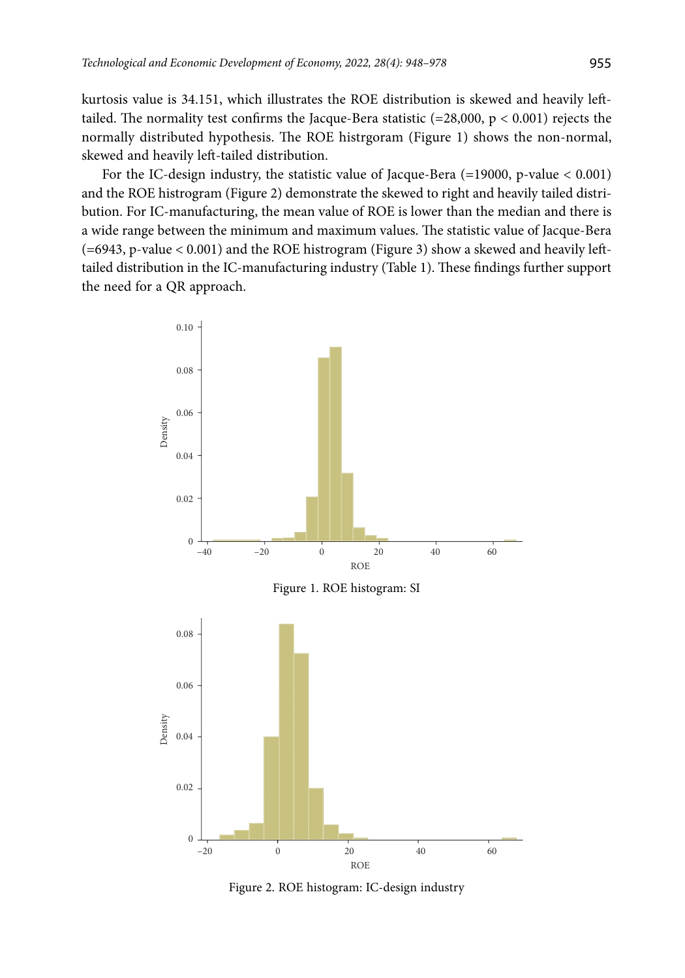kurtosis value is 34.151, which illustrates the ROE distribution is skewed and heavily lefttailed. The normality test confirms the Jacque-Bera statistic (=28,000, p < 0.001) rejects the normally distributed hypothesis. The ROE histrgoram (Figure 1) shows the non-normal, skewed and heavily left-tailed distribution.

For the IC-design industry, the statistic value of Jacque-Bera (=19000, p-value < 0.001) and the ROE histrogram (Figure 2) demonstrate the skewed to right and heavily tailed distribution. For IC-manufacturing, the mean value of ROE is lower than the median and there is a wide range between the minimum and maximum values. The statistic value of Jacque-Bera (=6943, p-value < 0.001) and the ROE histrogram (Figure 3) show a skewed and heavily lefttailed distribution in the IC-manufacturing industry (Table 1). These findings further support the need for a QR approach.



Figure 2. ROE histogram: IC-design industry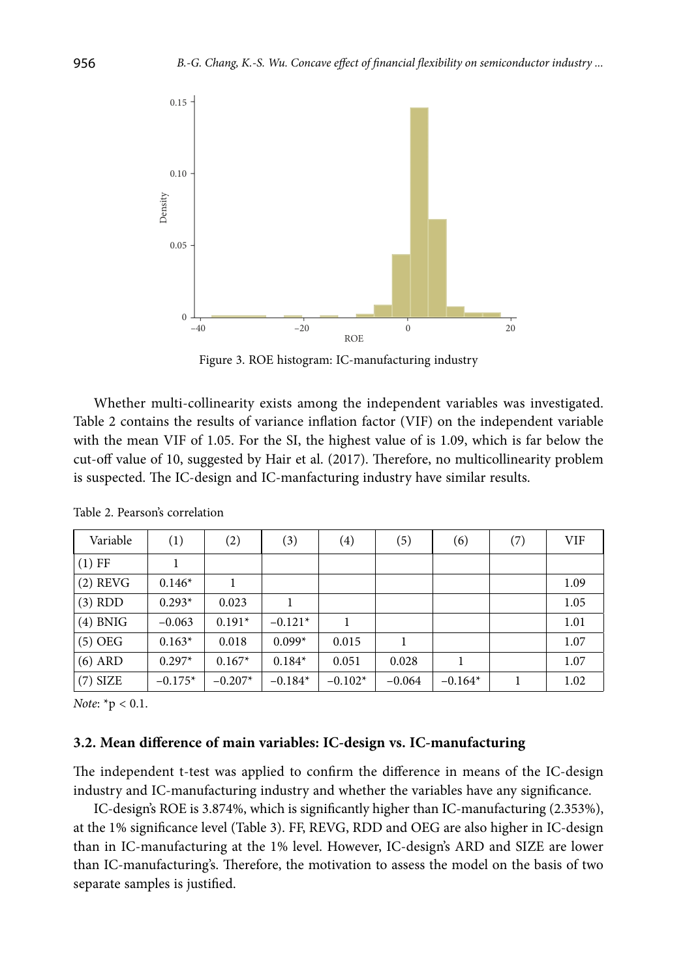

Figure 3. ROE histogram: IC-manufacturing industry

Whether multi-collinearity exists among the independent variables was investigated. Table 2 contains the results of variance inflation factor (VIF) on the independent variable with the mean VIF of 1.05. For the SI, the highest value of is 1.09, which is far below the cut-off value of 10, suggested by Hair et al. (2017). Therefore, no multicollinearity problem is suspected. The IC-design and IC-manfacturing industry have similar results.

| Variable   | (1)       | (2)       | (3)       | (4)       | (5)      | (6)       | (7) | <b>VIF</b> |
|------------|-----------|-----------|-----------|-----------|----------|-----------|-----|------------|
| $(1)$ FF   |           |           |           |           |          |           |     |            |
| $(2)$ REVG | $0.146*$  |           |           |           |          |           |     | 1.09       |
| $(3)$ RDD  | $0.293*$  | 0.023     |           |           |          |           |     | 1.05       |
| $(4)$ BNIG | $-0.063$  | $0.191*$  | $-0.121*$ |           |          |           |     | 1.01       |
| $(5)$ OEG  | $0.163*$  | 0.018     | $0.099*$  | 0.015     |          |           |     | 1.07       |
| $(6)$ ARD  | $0.297*$  | $0.167*$  | $0.184*$  | 0.051     | 0.028    |           |     | 1.07       |
| $(7)$ SIZE | $-0.175*$ | $-0.207*$ | $-0.184*$ | $-0.102*$ | $-0.064$ | $-0.164*$ |     | 1.02       |

Table 2. Pearson's correlation

*Note*: \*p < 0.1.

### **3.2. Mean difference of main variables: IC-design vs. IC-manufacturing**

The independent t-test was applied to confirm the difference in means of the IC-design industry and IC-manufacturing industry and whether the variables have any significance.

IC-design's ROE is 3.874%, which is significantly higher than IC-manufacturing (2.353%), at the 1% significance level (Table 3). FF, REVG, RDD and OEG are also higher in IC-design than in IC-manufacturing at the 1% level. However, IC-design's ARD and SIZE are lower than IC-manufacturing's. Therefore, the motivation to assess the model on the basis of two separate samples is justified.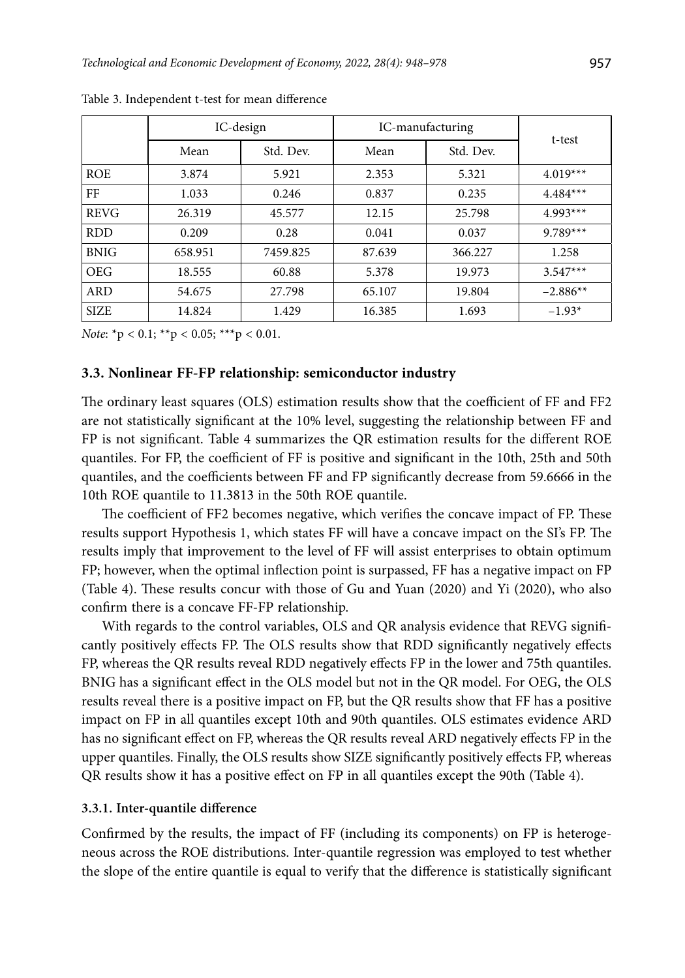|             | IC-design |           |        | IC-manufacturing | t-test     |  |
|-------------|-----------|-----------|--------|------------------|------------|--|
|             | Mean      | Std. Dev. | Mean   | Std. Dev.        |            |  |
| <b>ROE</b>  | 3.874     | 5.921     | 2.353  | 5.321            | $4.019***$ |  |
| FF          | 1.033     | 0.246     | 0.837  | 0.235            | $4.484***$ |  |
| <b>REVG</b> | 26.319    | 45.577    | 12.15  | 25.798           | $4.993***$ |  |
| <b>RDD</b>  | 0.209     | 0.28      | 0.041  | 0.037            | $9.789***$ |  |
| <b>BNIG</b> | 658.951   | 7459.825  | 87.639 | 366.227          | 1.258      |  |
| <b>OEG</b>  | 18.555    | 60.88     | 5.378  | 19.973           | $3.547***$ |  |
| <b>ARD</b>  | 54.675    | 27.798    | 65.107 | 19.804           | $-2.886**$ |  |
| <b>SIZE</b> | 14.824    | 1.429     | 16.385 | 1.693            | $-1.93*$   |  |

Table 3. Independent t-test for mean difference

*Note*: \*p < 0.1; \*\*p < 0.05; \*\*\*p < 0.01.

### **3.3. Nonlinear FF-FP relationship: semiconductor industry**

The ordinary least squares (OLS) estimation results show that the coefficient of FF and FF2 are not statistically significant at the 10% level, suggesting the relationship between FF and FP is not significant. Table 4 summarizes the QR estimation results for the different ROE quantiles. For FP, the coefficient of FF is positive and significant in the 10th, 25th and 50th quantiles, and the coefficients between FF and FP significantly decrease from 59.6666 in the 10th ROE quantile to 11.3813 in the 50th ROE quantile.

The coefficient of FF2 becomes negative, which verifies the concave impact of FP. These results support Hypothesis 1, which states FF will have a concave impact on the SI's FP. The results imply that improvement to the level of FF will assist enterprises to obtain optimum FP; however, when the optimal inflection point is surpassed, FF has a negative impact on FP (Table 4). These results concur with those of Gu and Yuan (2020) and Yi (2020), who also confirm there is a concave FF-FP relationship.

With regards to the control variables, OLS and QR analysis evidence that REVG significantly positively effects FP. The OLS results show that RDD significantly negatively effects FP, whereas the QR results reveal RDD negatively effects FP in the lower and 75th quantiles. BNIG has a significant effect in the OLS model but not in the QR model. For OEG, the OLS results reveal there is a positive impact on FP, but the QR results show that FF has a positive impact on FP in all quantiles except 10th and 90th quantiles. OLS estimates evidence ARD has no significant effect on FP, whereas the QR results reveal ARD negatively effects FP in the upper quantiles. Finally, the OLS results show SIZE significantly positively effects FP, whereas QR results show it has a positive effect on FP in all quantiles except the 90th (Table 4).

#### **3.3.1. Inter-quantile difference**

Confirmed by the results, the impact of FF (including its components) on FP is heterogeneous across the ROE distributions. Inter-quantile regression was employed to test whether the slope of the entire quantile is equal to verify that the difference is statistically significant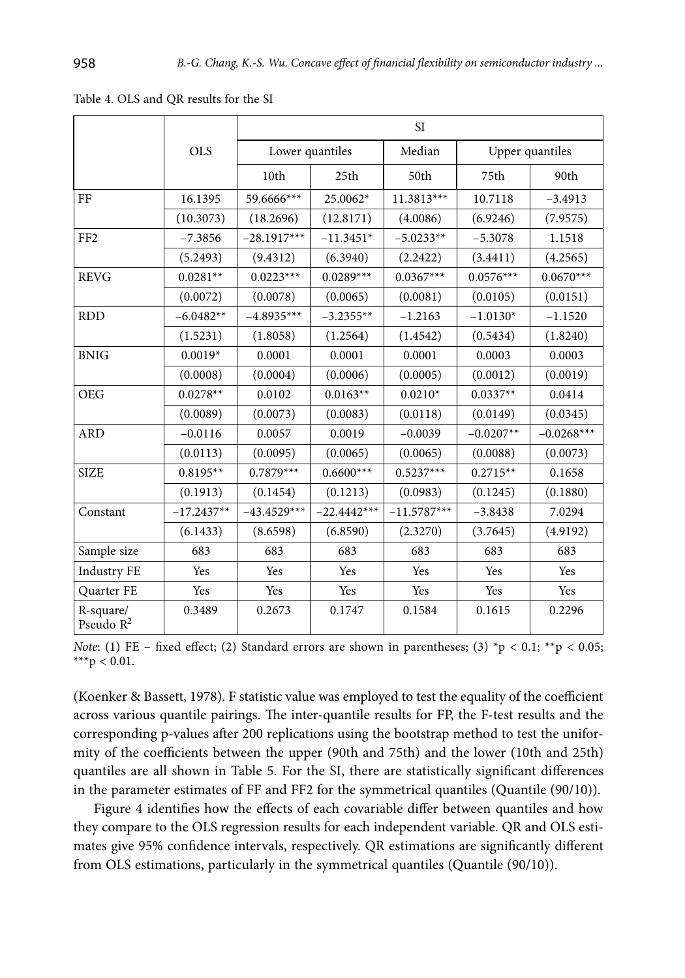|                           |              | SI            |                  |               |             |                 |  |
|---------------------------|--------------|---------------|------------------|---------------|-------------|-----------------|--|
|                           | <b>OLS</b>   |               | Lower quantiles  | Median        |             | Upper quantiles |  |
|                           |              | 10th          | 25 <sub>th</sub> | 50th          | 75th        | 90th            |  |
| FF                        | 16.1395      | 59.6666***    | 25.0062*         | 11.3813***    | 10.7118     | $-3.4913$       |  |
|                           | (10.3073)    | (18.2696)     | (12.8171)        | (4.0086)      | (6.9246)    | (7.9575)        |  |
| FF <sub>2</sub>           | $-7.3856$    | $-28.1917***$ | $-11.3451*$      | $-5.0233**$   | $-5.3078$   | 1.1518          |  |
|                           | (5.2493)     | (9.4312)      | (6.3940)         | (2.2422)      | (3.4411)    | (4.2565)        |  |
| <b>REVG</b>               | $0.0281**$   | $0.0223***$   | $0.0289***$      | $0.0367***$   | $0.0576***$ | $0.0670***$     |  |
|                           | (0.0072)     | (0.0078)      | (0.0065)         | (0.0081)      | (0.0105)    | (0.0151)        |  |
| <b>RDD</b>                | $-6.0482**$  | $-4.8935***$  | $-3.2355**$      | $-1.2163$     | $-1.0130*$  | $-1.1520$       |  |
|                           | (1.5231)     | (1.8058)      | (1.2564)         | (1.4542)      | (0.5434)    | (1.8240)        |  |
| <b>BNIG</b>               | $0.0019*$    | 0.0001        | 0.0001           | 0.0001        | 0.0003      | 0.0003          |  |
|                           | (0.0008)     | (0.0004)      | (0.0006)         | (0.0005)      | (0.0012)    | (0.0019)        |  |
| <b>OEG</b>                | $0.0278**$   | 0.0102        | $0.0163**$       | $0.0210*$     | $0.0337**$  | 0.0414          |  |
|                           | (0.0089)     | (0.0073)      | (0.0083)         | (0.0118)      | (0.0149)    | (0.0345)        |  |
| <b>ARD</b>                | $-0.0116$    | 0.0057        | 0.0019           | $-0.0039$     | $-0.0207**$ | $-0.0268***$    |  |
|                           | (0.0113)     | (0.0095)      | (0.0065)         | (0.0065)      | (0.0088)    | (0.0073)        |  |
| <b>SIZE</b>               | $0.8195**$   | $0.7879***$   | $0.6600***$      | $0.5237***$   | $0.2715**$  | 0.1658          |  |
|                           | (0.1913)     | (0.1454)      | (0.1213)         | (0.0983)      | (0.1245)    | (0.1880)        |  |
| Constant                  | $-17.2437**$ | $-43.4529***$ | $-22.4442***$    | $-11.5787***$ | $-3.8438$   | 7.0294          |  |
|                           | (6.1433)     | (8.6598)      | (6.8590)         | (2.3270)      | (3.7645)    | (4.9192)        |  |
| Sample size               | 683          | 683           | 683              | 683           | 683         | 683             |  |
| <b>Industry FE</b>        | Yes          | Yes           | Yes              | Yes           | Yes         | Yes             |  |
| Quarter FE                | Yes          | Yes           | Yes              | Yes           | Yes         | Yes             |  |
| R-square/<br>Pseudo $R^2$ | 0.3489       | 0.2673        | 0.1747           | 0.1584        | 0.1615      | 0.2296          |  |

Table 4. OLS and QR results for the SI

*Note*: (1) FE – fixed effect; (2) Standard errors are shown in parentheses; (3) \*p < 0.1; \*\*p < 0.05; \*\*\*p < 0.01.

(Koenker & Bassett, 1978). F statistic value was employed to test the equality of the coefficient across various quantile pairings. The inter-quantile results for FP, the F-test results and the corresponding p-values after 200 replications using the bootstrap method to test the uniformity of the coefficients between the upper (90th and 75th) and the lower (10th and 25th) quantiles are all shown in Table 5. For the SI, there are statistically significant differences in the parameter estimates of FF and FF2 for the symmetrical quantiles (Quantile (90/10)).

Figure 4 identifies how the effects of each covariable differ between quantiles and how they compare to the OLS regression results for each independent variable. QR and OLS estimates give 95% confidence intervals, respectively. QR estimations are significantly different from OLS estimations, particularly in the symmetrical quantiles (Quantile (90/10)).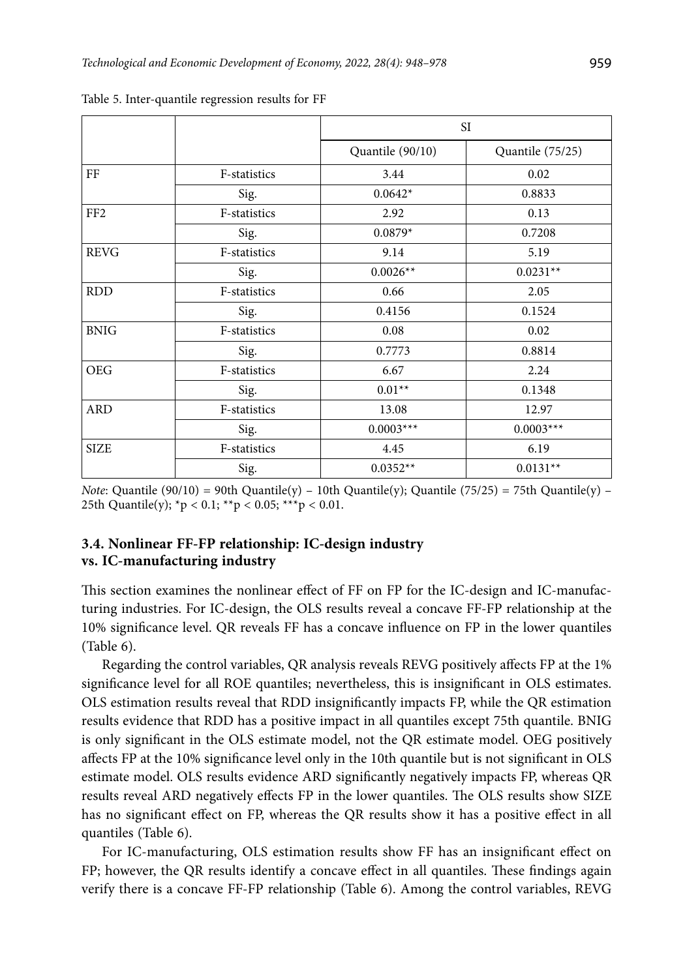|                 |              |                  | SI <sub></sub>   |
|-----------------|--------------|------------------|------------------|
|                 |              | Quantile (90/10) | Quantile (75/25) |
| FF              | F-statistics | 3.44             | 0.02             |
|                 | Sig.         | $0.0642*$        | 0.8833           |
| FF <sub>2</sub> | F-statistics | 2.92             | 0.13             |
|                 | Sig.         | $0.0879*$        | 0.7208           |
| <b>REVG</b>     | F-statistics | 9.14             | 5.19             |
|                 | Sig.         | $0.0026**$       | $0.0231**$       |
| <b>RDD</b>      | F-statistics | 0.66             | 2.05             |
|                 | Sig.         | 0.4156           | 0.1524           |
| <b>BNIG</b>     | F-statistics | 0.08             | 0.02             |
|                 | Sig.         | 0.7773           | 0.8814           |
| <b>OEG</b>      | F-statistics | 6.67             | 2.24             |
|                 | Sig.         | $0.01**$         | 0.1348           |
| <b>ARD</b>      | F-statistics | 13.08            | 12.97            |
|                 | Sig.         | $0.0003***$      | $0.0003***$      |
| <b>SIZE</b>     | F-statistics | 4.45             | 6.19             |
|                 | Sig.         | $0.0352**$       | $0.0131**$       |

Table 5. Inter-quantile regression results for FF

*Note*: Quantile (90/10) = 90th Quantile(y) – 10th Quantile(y); Quantile (75/25) = 75th Quantile(y) – 25th Quantile(y);  ${}^*p$  < 0.1;  ${}^{**}p$  < 0.05;  ${}^{***}p$  < 0.01.

## **3.4. Nonlinear FF-FP relationship: IC-design industry vs. IC-manufacturing industry**

This section examines the nonlinear effect of FF on FP for the IC-design and IC-manufacturing industries. For IC-design, the OLS results reveal a concave FF-FP relationship at the 10% significance level. QR reveals FF has a concave influence on FP in the lower quantiles (Table 6).

Regarding the control variables, QR analysis reveals REVG positively affects FP at the 1% significance level for all ROE quantiles; nevertheless, this is insignificant in OLS estimates. OLS estimation results reveal that RDD insignificantly impacts FP, while the QR estimation results evidence that RDD has a positive impact in all quantiles except 75th quantile. BNIG is only significant in the OLS estimate model, not the QR estimate model. OEG positively affects FP at the 10% significance level only in the 10th quantile but is not significant in OLS estimate model. OLS results evidence ARD significantly negatively impacts FP, whereas QR results reveal ARD negatively effects FP in the lower quantiles. The OLS results show SIZE has no significant effect on FP, whereas the QR results show it has a positive effect in all quantiles (Table 6).

For IC-manufacturing, OLS estimation results show FF has an insignificant effect on FP; however, the QR results identify a concave effect in all quantiles. These findings again verify there is a concave FF-FP relationship (Table 6). Among the control variables, REVG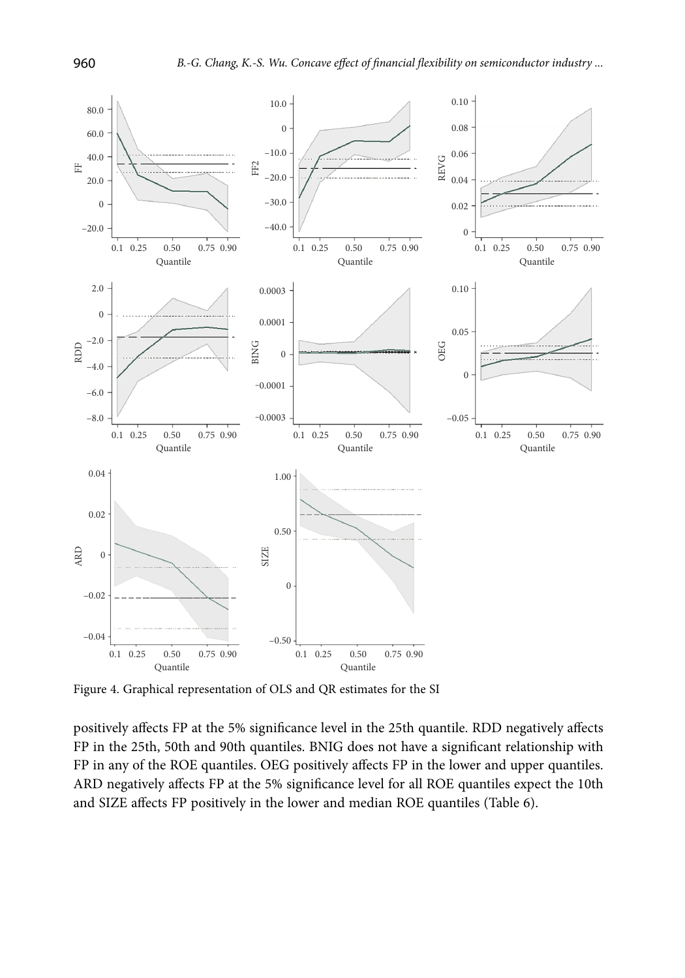

Figure 4. Graphical representation of OLS and QR estimates for the SI

positively affects FP at the 5% significance level in the 25th quantile. RDD negatively affects FP in the 25th, 50th and 90th quantiles. BNIG does not have a significant relationship with FP in any of the ROE quantiles. OEG positively affects FP in the lower and upper quantiles. ARD negatively affects FP at the 5% significance level for all ROE quantiles expect the 10th and SIZE affects FP positively in the lower and median ROE quantiles (Table 6).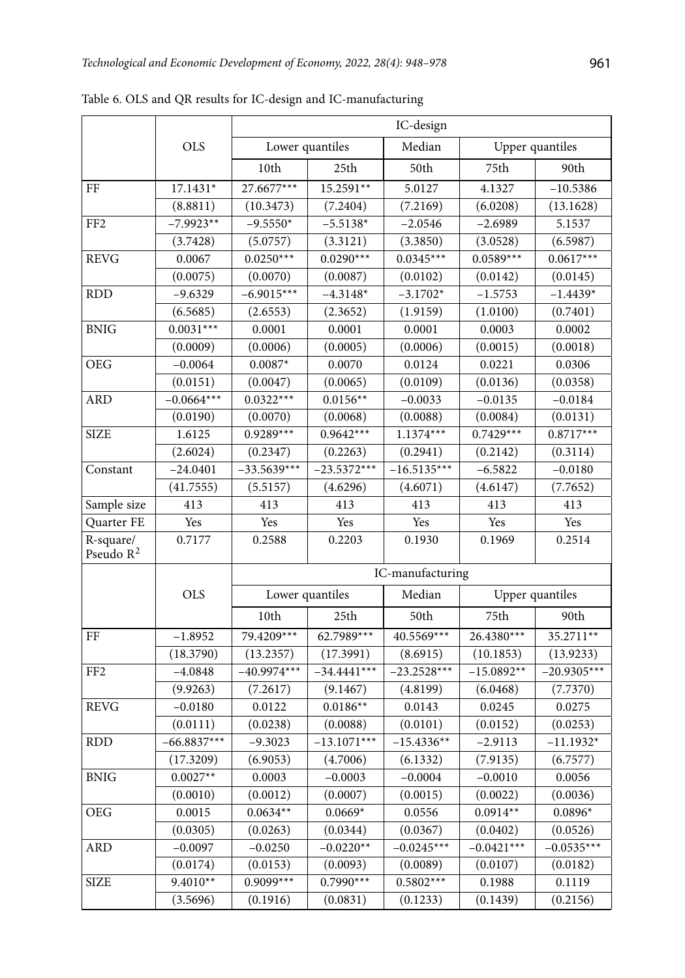|                           |               | IC-design     |                  |                  |                 |                 |  |
|---------------------------|---------------|---------------|------------------|------------------|-----------------|-----------------|--|
|                           | <b>OLS</b>    |               | Lower quantiles  | Median           |                 | Upper quantiles |  |
|                           |               | 10th          | 25th             | 50th             | 75th            | 90th            |  |
| FF                        | 17.1431*      | 27.6677***    | 15.2591**        | 5.0127           | 4.1327          | $-10.5386$      |  |
|                           | (8.8811)      | (10.3473)     | (7.2404)         | (7.2169)         | (6.0208)        | (13.1628)       |  |
| FF <sub>2</sub>           | $-7.9923**$   | $-9.5550*$    | $-5.5138*$       | $-2.0546$        | $-2.6989$       | 5.1537          |  |
|                           | (3.7428)      | (5.0757)      | (3.3121)         | (3.3850)         | (3.0528)        | (6.5987)        |  |
| <b>REVG</b>               | 0.0067        | $0.0250***$   | $0.0290***$      | $0.0345***$      | $0.0589***$     | $0.0617***$     |  |
|                           | (0.0075)      | (0.0070)      | (0.0087)         | (0.0102)         | (0.0142)        | (0.0145)        |  |
| <b>RDD</b>                | $-9.6329$     | $-6.9015***$  | $-4.3148*$       | $-3.1702*$       | $-1.5753$       | $-1.4439*$      |  |
|                           | (6.5685)      | (2.6553)      | (2.3652)         | (1.9159)         | (1.0100)        | (0.7401)        |  |
| <b>BNIG</b>               | $0.0031***$   | 0.0001        | 0.0001           | 0.0001           | 0.0003          | 0.0002          |  |
|                           | (0.0009)      | (0.0006)      | (0.0005)         | (0.0006)         | (0.0015)        | (0.0018)        |  |
| OEG                       | $-0.0064$     | $0.0087*$     | 0.0070           | 0.0124           | 0.0221          | 0.0306          |  |
|                           | (0.0151)      | (0.0047)      | (0.0065)         | (0.0109)         | (0.0136)        | (0.0358)        |  |
| ARD                       | $-0.0664***$  | $0.0322***$   | $0.0156**$       | $-0.0033$        | $-0.0135$       | $-0.0184$       |  |
|                           | (0.0190)      | (0.0070)      | (0.0068)         | (0.0088)         | (0.0084)        | (0.0131)        |  |
| <b>SIZE</b>               | 1.6125        | $0.9289***$   | $0.9642***$      | $1.1374***$      | $0.7429***$     | $0.8717***$     |  |
|                           | (2.6024)      | (0.2347)      | (0.2263)         | (0.2941)         | (0.2142)        | (0.3114)        |  |
| Constant                  | $-24.0401$    | $-33.5639***$ | $-23.5372***$    | $-16.5135***$    | $-6.5822$       | $-0.0180$       |  |
|                           | (41.7555)     | (5.5157)      | (4.6296)         | (4.6071)         | (4.6147)        | (7.7652)        |  |
| Sample size               | 413           | 413           | 413              | 413              | 413             | 413             |  |
| Quarter FE                | Yes           | Yes           | Yes              | Yes              | Yes             | Yes             |  |
| R-square/<br>Pseudo $R^2$ | 0.7177        | 0.2588        | 0.2203           | 0.1930           | 0.1969          | 0.2514          |  |
|                           |               |               |                  | IC-manufacturing |                 |                 |  |
|                           | <b>OLS</b>    |               | Lower quantiles  | Median           | Upper quantiles |                 |  |
|                           |               | 10th          | 25 <sub>th</sub> | 50th             | 75th            | 90th            |  |
| FF                        | $-1.8952$     | 79.4209***    | $62.7989***$     | 40.5569***       | 26.4380***      | 35.2711**       |  |
|                           | (18.3790)     | (13.2357)     | (17.3991)        | (8.6915)         | (10.1853)       | (13.9233)       |  |
| FF <sub>2</sub>           | $-4.0848$     | $-40.9974***$ | $-34.4441***$    | $-23.2528***$    | $-15.0892**$    | $-20.9305***$   |  |
|                           | (9.9263)      | (7.2617)      | (9.1467)         | (4.8199)         | (6.0468)        | (7.7370)        |  |
| <b>REVG</b>               | $-0.0180$     | 0.0122        | $0.0186**$       | 0.0143           | 0.0245          | 0.0275          |  |
|                           | (0.0111)      | (0.0238)      | (0.0088)         | (0.0101)         | (0.0152)        | (0.0253)        |  |
| <b>RDD</b>                | $-66.8837***$ | $-9.3023$     | $-13.1071***$    | $-15.4336**$     | $-2.9113$       | $-11.1932*$     |  |
|                           | (17.3209)     | (6.9053)      | (4.7006)         | (6.1332)         | (7.9135)        | (6.7577)        |  |
| <b>BNIG</b>               | $0.0027**$    | 0.0003        | $-0.0003$        | $-0.0004$        | $-0.0010$       | 0.0056          |  |
|                           | (0.0010)      | (0.0012)      | (0.0007)         | (0.0015)         | (0.0022)        | (0.0036)        |  |
| <b>OEG</b>                | 0.0015        | $0.0634**$    | $0.0669*$        | 0.0556           | $0.0914**$      | $0.0896*$       |  |
|                           | (0.0305)      | (0.0263)      | (0.0344)         | (0.0367)         | (0.0402)        | (0.0526)        |  |
| <b>ARD</b>                | $-0.0097$     | $-0.0250$     | $-0.0220**$      | $-0.0245***$     | $-0.0421***$    | $-0.0535***$    |  |
|                           | (0.0174)      | (0.0153)      | (0.0093)         | (0.0089)         | (0.0107)        | (0.0182)        |  |
| <b>SIZE</b>               | $9.4010**$    | 0.9099***     | $0.7990***$      | $0.5802***$      | 0.1988          | 0.1119          |  |
|                           | (3.5696)      | (0.1916)      | (0.0831)         | (0.1233)         | (0.1439)        | (0.2156)        |  |

Table 6. OLS and QR results for IC-design and IC-manufacturing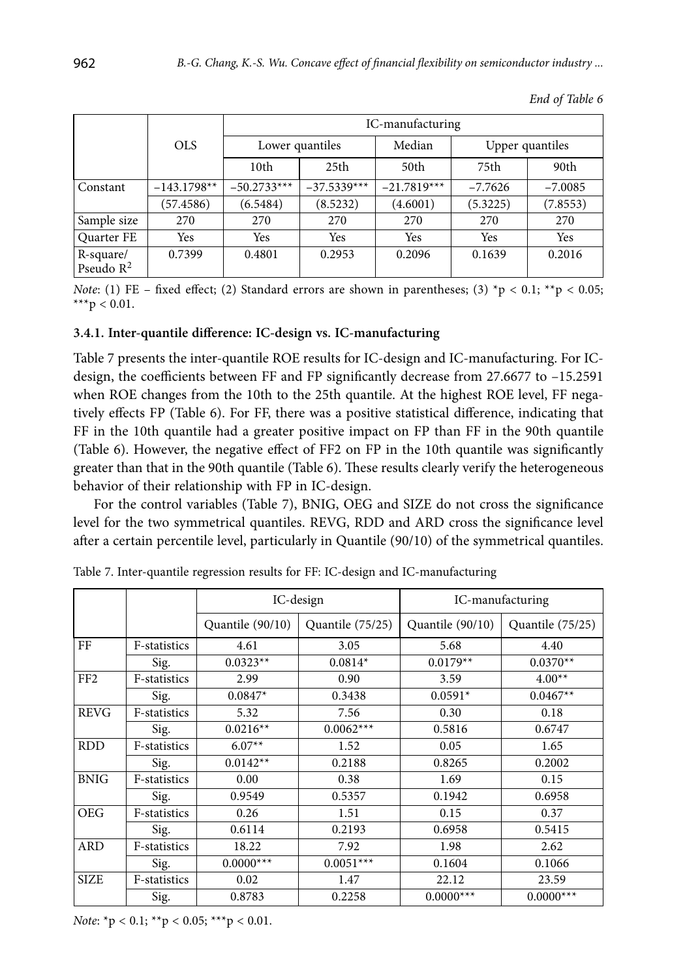|                           |               |                  |               | IC-manufacturing |           |                 |  |
|---------------------------|---------------|------------------|---------------|------------------|-----------|-----------------|--|
|                           | <b>OLS</b>    | Lower quantiles  |               | Median           |           | Upper quantiles |  |
|                           |               | 10 <sub>th</sub> | 25th          | 50th             | 75th      | 90th            |  |
| Constant                  | $-143.1798**$ | $-50.2733***$    | $-37.5339***$ | $-21.7819***$    | $-7.7626$ | $-7.0085$       |  |
|                           | (57.4586)     | (6.5484)         | (8.5232)      | (4.6001)         | (5.3225)  | (7.8553)        |  |
| Sample size               | 270           | 270              | 270           | 270              | 270       | 270             |  |
| Quarter FE                | Yes           | Yes              | Yes           | Yes              | Yes       | Yes             |  |
| R-square/<br>Pseudo $R^2$ | 0.7399        | 0.4801           | 0.2953        | 0.2096           | 0.1639    | 0.2016          |  |

*End of Table 6*

*Note*: (1) FE – fixed effect; (2) Standard errors are shown in parentheses; (3) \*p < 0.1; \*\*p < 0.05; \*\*\*p < 0.01.

#### **3.4.1. Inter-quantile difference: IC-design vs. IC-manufacturing**

Table 7 presents the inter-quantile ROE results for IC-design and IC-manufacturing. For ICdesign, the coefficients between FF and FP significantly decrease from 27.6677 to –15.2591 when ROE changes from the 10th to the 25th quantile. At the highest ROE level, FF negatively effects FP (Table 6). For FF, there was a positive statistical difference, indicating that FF in the 10th quantile had a greater positive impact on FP than FF in the 90th quantile (Table 6). However, the negative effect of FF2 on FP in the 10th quantile was significantly greater than that in the 90th quantile (Table 6). These results clearly verify the heterogeneous behavior of their relationship with FP in IC-design.

For the control variables (Table 7), BNIG, OEG and SIZE do not cross the significance level for the two symmetrical quantiles. REVG, RDD and ARD cross the significance level after a certain percentile level, particularly in Quantile (90/10) of the symmetrical quantiles.

|                 |              |                  | IC-design        | IC-manufacturing |                  |  |  |
|-----------------|--------------|------------------|------------------|------------------|------------------|--|--|
|                 |              | Quantile (90/10) | Quantile (75/25) | Quantile (90/10) | Quantile (75/25) |  |  |
| FF              | F-statistics | 4.61             | 3.05             | 5.68             | 4.40             |  |  |
|                 | Sig.         | $0.0323**$       | $0.0814*$        | $0.0179**$       | $0.0370**$       |  |  |
| FF <sub>2</sub> | F-statistics | 2.99             | 0.90             | 3.59             | $4.00**$         |  |  |
|                 | Sig.         | $0.0847*$        | 0.3438           | $0.0591*$        | $0.0467**$       |  |  |
| <b>REVG</b>     | F-statistics | 5.32             | 7.56             | 0.30             | 0.18             |  |  |
|                 | Sig.         | $0.0216**$       | $0.0062***$      | 0.5816           | 0.6747           |  |  |
| <b>RDD</b>      | F-statistics | $6.07**$         | 1.52             | 0.05             | 1.65             |  |  |
|                 | Sig.         | $0.0142**$       | 0.2188           | 0.8265           | 0.2002           |  |  |
| <b>BNIG</b>     | F-statistics | 0.00             | 0.38             | 1.69             | 0.15             |  |  |
|                 | Sig.         | 0.9549           | 0.5357           | 0.1942           | 0.6958           |  |  |
| <b>OEG</b>      | F-statistics | 0.26             | 1.51             | 0.15             | 0.37             |  |  |
|                 | Sig.         | 0.6114           | 0.2193           | 0.6958           | 0.5415           |  |  |
| <b>ARD</b>      | F-statistics | 18.22            | 7.92             | 1.98             | 2.62             |  |  |
|                 | Sig.         | $0.0000***$      | $0.0051***$      | 0.1604           | 0.1066           |  |  |
| <b>SIZE</b>     | F-statistics | 0.02             | 1.47             | 22.12            | 23.59            |  |  |
|                 | Sig.         | 0.8783           | 0.2258           | $0.0000***$      | $0.0000***$      |  |  |

Table 7. Inter-quantile regression results for FF: IC-design and IC-manufacturing

*Note*: \*p < 0.1; \*\*p < 0.05; \*\*\*p < 0.01.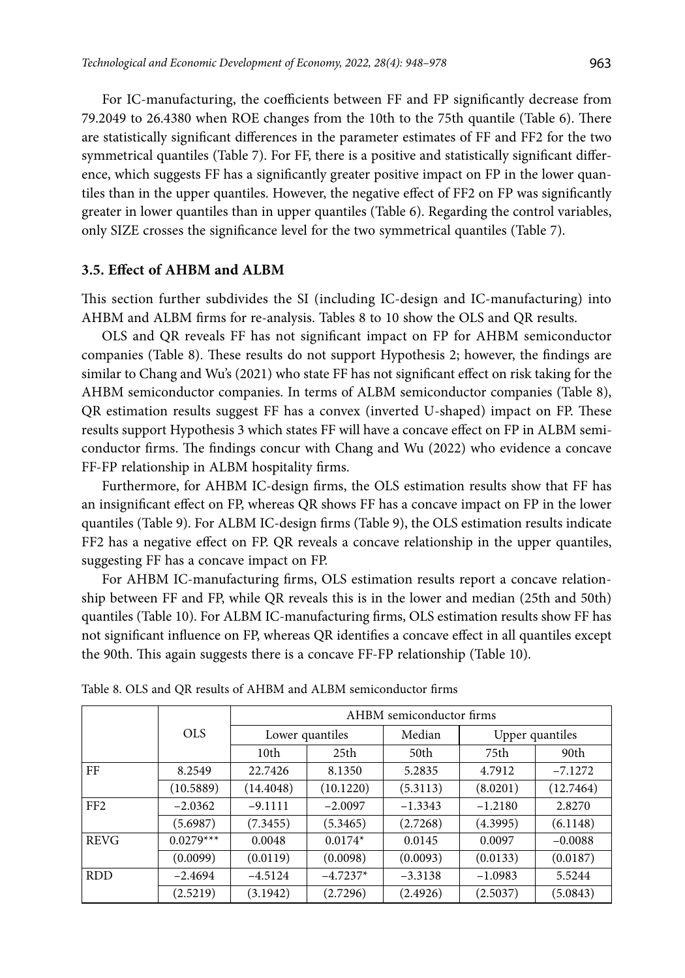For IC-manufacturing, the coefficients between FF and FP significantly decrease from 79.2049 to 26.4380 when ROE changes from the 10th to the 75th quantile (Table 6). There are statistically significant differences in the parameter estimates of FF and FF2 for the two symmetrical quantiles (Table 7). For FF, there is a positive and statistically significant difference, which suggests FF has a significantly greater positive impact on FP in the lower quantiles than in the upper quantiles. However, the negative effect of FF2 on FP was significantly greater in lower quantiles than in upper quantiles (Table 6). Regarding the control variables, only SIZE crosses the significance level for the two symmetrical quantiles (Table 7).

### **3.5. Effect of AHBM and ALBM**

This section further subdivides the SI (including IC-design and IC-manufacturing) into AHBM and ALBM firms for re-analysis. Tables 8 to 10 show the OLS and QR results.

OLS and QR reveals FF has not significant impact on FP for AHBM semiconductor companies (Table 8). These results do not support Hypothesis 2; however, the findings are similar to Chang and Wu's (2021) who state FF has not significant effect on risk taking for the AHBM semiconductor companies. In terms of ALBM semiconductor companies (Table 8), QR estimation results suggest FF has a convex (inverted U-shaped) impact on FP. These results support Hypothesis 3 which states FF will have a concave effect on FP in ALBM semiconductor firms. The findings concur with Chang and Wu (2022) who evidence a concave FF-FP relationship in ALBM hospitality firms.

Furthermore, for AHBM IC-design firms, the OLS estimation results show that FF has an insignificant effect on FP, whereas QR shows FF has a concave impact on FP in the lower quantiles (Table 9). For ALBM IC-design firms (Table 9), the OLS estimation results indicate FF2 has a negative effect on FP. QR reveals a concave relationship in the upper quantiles, suggesting FF has a concave impact on FP.

For AHBM IC-manufacturing firms, OLS estimation results report a concave relationship between FF and FP, while QR reveals this is in the lower and median (25th and 50th) quantiles (Table 10). For ALBM IC-manufacturing firms, OLS estimation results show FF has not significant influence on FP, whereas QR identifies a concave effect in all quantiles except the 90th. This again suggests there is a concave FF-FP relationship (Table 10).

|                 |             | AHBM semiconductor firms |                 |           |           |                 |  |
|-----------------|-------------|--------------------------|-----------------|-----------|-----------|-----------------|--|
|                 | <b>OLS</b>  |                          | Lower quantiles | Median    |           | Upper quantiles |  |
|                 |             | 10 <sub>th</sub>         | 25th            | 50th      | 75th      | 90th            |  |
| FF              | 8.2549      | 22.7426                  | 8.1350          | 5.2835    | 4.7912    | $-7.1272$       |  |
|                 | (10.5889)   | (14.4048)                | (10.1220)       | (5.3113)  | (8.0201)  | (12.7464)       |  |
| FF <sub>2</sub> | $-2.0362$   | $-9.1111$                | $-2.0097$       | $-1.3343$ | $-1.2180$ | 2.8270          |  |
|                 | (5.6987)    | (7.3455)                 | (5.3465)        | (2.7268)  | (4.3995)  | (6.1148)        |  |
| <b>REVG</b>     | $0.0279***$ | 0.0048                   | $0.0174*$       | 0.0145    | 0.0097    | $-0.0088$       |  |
|                 | (0.0099)    | (0.0119)                 | (0.0098)        | (0.0093)  | (0.0133)  | (0.0187)        |  |
| <b>RDD</b>      | $-2.4694$   | $-4.5124$                | $-4.7237*$      | $-3.3138$ | $-1.0983$ | 5.5244          |  |
|                 | (2.5219)    | (3.1942)                 | (2.7296)        | (2.4926)  | (2.5037)  | (5.0843)        |  |

Table 8. OLS and QR results of AHBM and ALBM semiconductor firms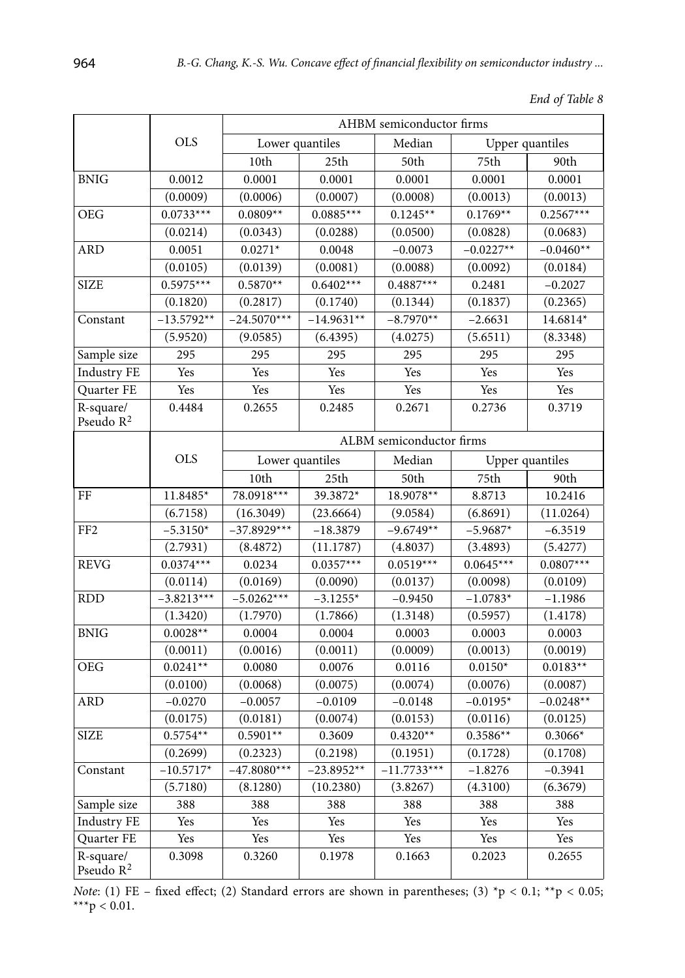|                                    |              |                 |              |                          |             | <i>Enu of Tuble 6</i> |  |
|------------------------------------|--------------|-----------------|--------------|--------------------------|-------------|-----------------------|--|
|                                    |              |                 |              | AHBM semiconductor firms |             |                       |  |
|                                    | <b>OLS</b>   | Lower quantiles |              | Median                   |             | Upper quantiles       |  |
|                                    |              | 10th            | 25th         | 50th                     | 75th        | 90th                  |  |
| <b>BNIG</b>                        | 0.0012       | 0.0001          | 0.0001       | 0.0001                   | 0.0001      | 0.0001                |  |
|                                    | (0.0009)     | (0.0006)        | (0.0007)     | (0.0008)                 | (0.0013)    | (0.0013)              |  |
| <b>OEG</b>                         | $0.0733***$  | $0.0809**$      | $0.0885***$  | $0.1245**$               | $0.1769**$  | $0.2567***$           |  |
|                                    | (0.0214)     | (0.0343)        | (0.0288)     | (0.0500)                 | (0.0828)    | (0.0683)              |  |
| <b>ARD</b>                         | 0.0051       | $0.0271*$       | 0.0048       | $-0.0073$                | $-0.0227**$ | $-0.0460**$           |  |
|                                    | (0.0105)     | (0.0139)        | (0.0081)     | (0.0088)                 | (0.0092)    | (0.0184)              |  |
| <b>SIZE</b>                        | $0.5975***$  | $0.5870**$      | $0.6402***$  | $0.4887***$              | 0.2481      | $-0.2027$             |  |
|                                    | (0.1820)     | (0.2817)        | (0.1740)     | (0.1344)                 | (0.1837)    | (0.2365)              |  |
| Constant                           | $-13.5792**$ | $-24.5070***$   | $-14.9631**$ | $-8.7970**$              | $-2.6631$   | 14.6814*              |  |
|                                    | (5.9520)     | (9.0585)        | (6.4395)     | (4.0275)                 | (5.6511)    | (8.3348)              |  |
| Sample size                        | 295          | 295             | 295          | 295                      | 295         | 295                   |  |
| <b>Industry FE</b>                 | Yes          | Yes             | Yes          | Yes                      | Yes         | Yes                   |  |
| Quarter FE                         | Yes          | Yes             | Yes          | Yes                      | Yes         | Yes                   |  |
| R-square/<br>Pseudo R <sup>2</sup> | 0.4484       | 0.2655          | 0.2485       | 0.2671                   | 0.2736      | 0.3719                |  |
|                                    |              |                 |              | ALBM semiconductor firms |             |                       |  |
|                                    | <b>OLS</b>   | Lower quantiles |              | Median                   |             | Upper quantiles       |  |
|                                    |              | 10th            | 25th         | 50th                     | 75th        | 90th                  |  |
| FF                                 | 11.8485*     | 78.0918***      | 39.3872*     | 18.9078**                | 8.8713      | 10.2416               |  |
|                                    | (6.7158)     | (16.3049)       | (23.6664)    | (9.0584)                 | (6.8691)    | (11.0264)             |  |
| FF <sub>2</sub>                    | $-5.3150*$   | $-37.8929***$   | $-18.3879$   | $-9.6749**$              | $-5.9687*$  | $-6.3519$             |  |
|                                    | (2.7931)     | (8.4872)        | (11.1787)    | (4.8037)                 | (3.4893)    | (5.4277)              |  |
| <b>REVG</b>                        | $0.0374***$  | 0.0234          | $0.0357***$  | $0.0519***$              | $0.0645***$ | $0.0807***$           |  |
|                                    | (0.0114)     | (0.0169)        | (0.0090)     | (0.0137)                 | (0.0098)    | (0.0109)              |  |
| <b>RDD</b>                         | $-3.8213***$ | $-5.0262***$    | $-3.1255*$   | $-0.9450$                | $-1.0783*$  | $-1.1986$             |  |
|                                    | (1.3420)     | (1.7970)        | (1.7866)     | (1.3148)                 | (0.5957)    | (1.4178)              |  |
| <b>BNIG</b>                        | $0.0028**$   | 0.0004          | 0.0004       | 0.0003                   | 0.0003      | 0.0003                |  |
|                                    | (0.0011)     | (0.0016)        | (0.0011)     | (0.0009)                 | (0.0013)    | (0.0019)              |  |
| <b>OEG</b>                         | $0.0241**$   | 0.0080          | 0.0076       | 0.0116                   | $0.0150*$   | $0.0183**$            |  |
|                                    | (0.0100)     | (0.0068)        | (0.0075)     | (0.0074)                 | (0.0076)    | (0.0087)              |  |
| <b>ARD</b>                         | $-0.0270$    | $-0.0057$       | $-0.0109$    | $-0.0148$                | $-0.0195*$  | $-0.0248**$           |  |
|                                    | (0.0175)     | (0.0181)        | (0.0074)     | (0.0153)                 | (0.0116)    | (0.0125)              |  |

*End of Table 8*

*Note*: (1) FE - fixed effect; (2) Standard errors are shown in parentheses; (3) \*p < 0.1; \*\*p < 0.05; \*\*\* $p < 0.01$ .

 $\text{SIZE} \quad | \quad 0.5754^{**} \quad | \quad 0.5901^{**} \quad | \quad 0.3609 \quad | \quad 0.4320^{**} \quad | \quad 0.3586^{**} \quad | \quad 0.3066^{*} \quad | \quad 0.40000^{**} \quad | \quad 0.40000^{**} \quad | \quad 0.40000^{**} \quad | \quad 0.40000^{**} \quad | \quad 0.40000^{**} \quad | \quad 0.40000^{**} \quad | \quad 0.40000^{**} \quad | \quad 0.40000^{**}$ 

Constant  $\vert$  -10.5717\*  $\vert$  -47.8080\*\*\*  $\vert$  -23.8952\*\*  $\vert$  -11.7733\*\*\*  $\vert$  -1.8276  $\vert$  -0.3941

Sample size | 388 | 388 | 388 | 388 | 388 | 388 Industry FE Yes Yes Yes Yes Yes Yes Yes Yes Quarter FE Yes Yes Yes Yes Yes Yes Yes Yes

 $(0.2699)$   $(0.2323)$   $(0.2198)$   $(0.1951)$   $(0.1728)$   $(0.1708)$ 

 $(5.7180)$   $(8.1280)$   $(10.2380)$   $(3.8267)$   $(4.3100)$   $(6.3679)$ 

0.3098 0.3260 0.1978 0.1663 0.2023 0.2655

R*-*square/ Pseudo R<sup>2</sup>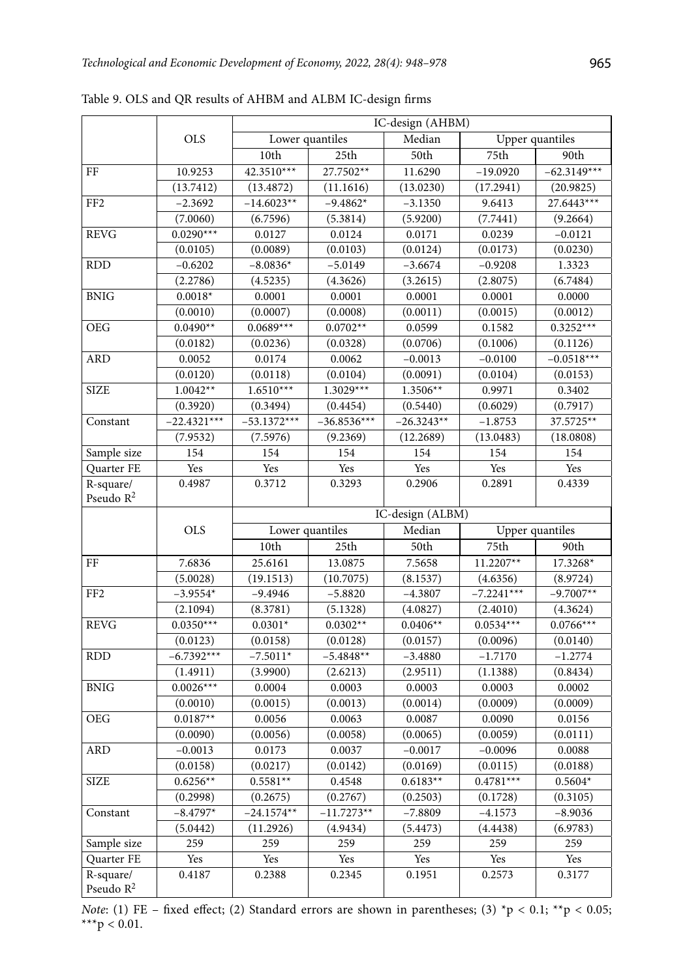|                       |               | IC-design (AHBM) |                 |                  |              |                 |
|-----------------------|---------------|------------------|-----------------|------------------|--------------|-----------------|
|                       | <b>OLS</b>    |                  | Lower quantiles | Median           |              | Upper quantiles |
|                       |               | 10th             | 25th            | 50th             | 75th         | 90th            |
| $\rm FF$              | 10.9253       | 42.3510***       | 27.7502**       | 11.6290          | $-19.0920$   | $-62.3149***$   |
|                       | (13.7412)     | (13.4872)        | (11.1616)       | (13.0230)        | (17.2941)    | (20.9825)       |
| FF <sub>2</sub>       | $-2.3692$     | $-14.6023**$     | $-9.4862*$      | $-3.1350$        | 9.6413       | 27.6443***      |
|                       | (7.0060)      | (6.7596)         | (5.3814)        | (5.9200)         | (7.7441)     | (9.2664)        |
| <b>REVG</b>           | $0.0290***$   | 0.0127           | 0.0124          | 0.0171           | 0.0239       | $-0.0121$       |
|                       | (0.0105)      | (0.0089)         | (0.0103)        | (0.0124)         | (0.0173)     | (0.0230)        |
| <b>RDD</b>            | $-0.6202$     | $-8.0836*$       | $-5.0149$       | $-3.6674$        | $-0.9208$    | 1.3323          |
|                       | (2.2786)      | (4.5235)         | (4.3626)        | (3.2615)         | (2.8075)     | (6.7484)        |
| <b>BNIG</b>           | $0.0018*$     | 0.0001           | 0.0001          | 0.0001           | 0.0001       | 0.0000          |
|                       | (0.0010)      | (0.0007)         | (0.0008)        | (0.0011)         | (0.0015)     | (0.0012)        |
| <b>OEG</b>            | $0.0490**$    | $0.0689***$      | $0.0702**$      | 0.0599           | 0.1582       | $0.3252***$     |
|                       | (0.0182)      | (0.0236)         | (0.0328)        | (0.0706)         | (0.1006)     | (0.1126)        |
| ARD                   | 0.0052        | 0.0174           | 0.0062          | $-0.0013$        | $-0.0100$    | $-0.0518***$    |
|                       | (0.0120)      | (0.0118)         | (0.0104)        | (0.0091)         | (0.0104)     | (0.0153)        |
| <b>SIZE</b>           | $1.0042**$    | $1.6510***$      | $1.3029***$     | 1.3506**         | 0.9971       | 0.3402          |
|                       | (0.3920)      | (0.3494)         | (0.4454)        | (0.5440)         | (0.6029)     | (0.7917)        |
| Constant              | $-22.4321***$ | $-53.1372***$    | $-36.8536***$   | $-26.3243**$     | $-1.8753$    | 37.5725**       |
|                       | (7.9532)      | (7.5976)         | (9.2369)        | (12.2689)        | (13.0483)    | (18.0808)       |
| Sample size           | 154           | 154              | 154             | 154              | 154          | 154             |
| Quarter FE            | Yes           | Yes              | Yes             | Yes              | Yes          | Yes             |
| R-square/             | 0.4987        | 0.3712           | 0.3293          | 0.2906           | 0.2891       | 0.4339          |
| Pseudo $R^2$          |               |                  |                 |                  |              |                 |
|                       |               |                  |                 | IC-design (ALBM) |              |                 |
|                       | <b>OLS</b>    |                  | Lower quantiles | Median           |              | Upper quantiles |
|                       |               | 10th             | 25th            | 50th             | 75th         | 90th            |
| FF                    | 7.6836        | 25.6161          | 13.0875         | 7.5658           | $11.2207**$  | 17.3268*        |
|                       | (5.0028)      | (19.1513)        | (10.7075)       | (8.1537)         | (4.6356)     | (8.9724)        |
| FF <sub>2</sub>       | $-3.9554*$    | $-9.4946$        | $-5.8820$       | $-4.3807$        | $-7.2241***$ | $-9.7007**$     |
|                       | (2.1094)      | (8.3781)         | (5.1328)        | (4.0827)         | (2.4010)     | (4.3624)        |
| <b>REVG</b>           | $0.0350***$   | $0.0301*$        | $0.0302**$      | $0.0406**$       | $0.0534***$  | $0.0766***$     |
|                       | (0.0123)      | (0.0158)         | (0.0128)        | (0.0157)         | (0.0096)     | (0.0140)        |
| <b>RDD</b>            | $-6.7392***$  | $-7.5011*$       | $-5.4848**$     | $-3.4880$        | $-1.7170$    | $-1.2774$       |
|                       | (1.4911)      | (3.9900)         | (2.6213)        | (2.9511)         | (1.1388)     | (0.8434)        |
| <b>BNIG</b>           | $0.0026***$   | 0.0004           | 0.0003          | 0.0003           | 0.0003       | 0.0002          |
|                       | (0.0010)      | (0.0015)         | (0.0013)        | (0.0014)         | (0.0009)     | (0.0009)        |
| <b>OEG</b>            | $0.0187**$    | 0.0056           | 0.0063          | 0.0087           | 0.0090       | 0.0156          |
|                       | (0.0090)      | (0.0056)         | (0.0058)        | (0.0065)         | (0.0059)     | (0.0111)        |
| <b>ARD</b>            | $-0.0013$     | 0.0173           | 0.0037          | $-0.0017$        | $-0.0096$    | 0.0088          |
|                       | (0.0158)      | (0.0217)         | (0.0142)        | (0.0169)         | (0.0115)     | (0.0188)        |
| <b>SIZE</b>           | $0.6256**$    | $0.5581**$       | 0.4548          | $0.6183**$       | $0.4781***$  | $0.5604*$       |
|                       | (0.2998)      | (0.2675)         | (0.2767)        | (0.2503)         | (0.1728)     | (0.3105)        |
| Constant              | $-8.4797*$    | $-24.1574**$     | $-11.7273**$    | $-7.8809$        | $-4.1573$    | $-8.9036$       |
|                       | (5.0442)      | (11.2926)        | (4.9434)        | (5.4473)         | (4.4438)     | (6.9783)        |
| Sample size           | 259           | 259              | 259             | 259              | 259          | 259             |
| Quarter FE            | Yes           | Yes              | Yes             | Yes              | Yes          | Yes             |
| R-square/             | 0.4187        | 0.2388           | 0.2345          | 0.1951           | 0.2573       | 0.3177          |
| Pseudo $\mathbb{R}^2$ |               |                  |                 |                  |              |                 |

Table 9. OLS and QR results of AHBM and ALBM IC-design firms

*Note*: (1) FE - fixed effect; (2) Standard errors are shown in parentheses; (3) \*p < 0.1; \*\*p < 0.05; \*\*\*p < 0.01.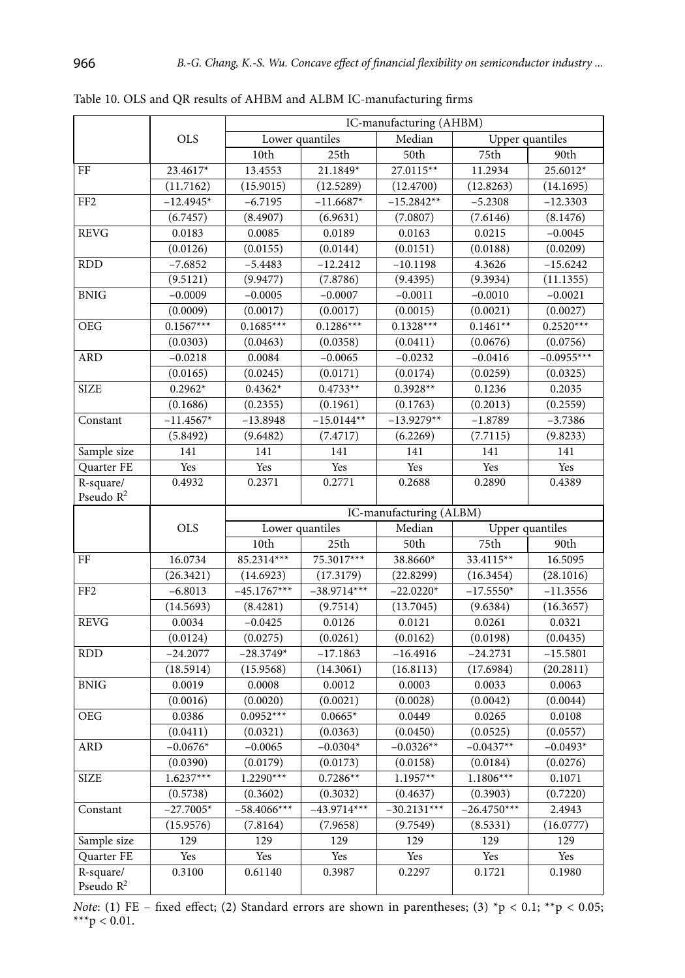|                                    |             | IC-manufacturing (AHBM) |                 |                         |                 |                 |
|------------------------------------|-------------|-------------------------|-----------------|-------------------------|-----------------|-----------------|
|                                    | <b>OLS</b>  |                         | Lower quantiles | Median                  | Upper quantiles |                 |
|                                    |             | 10th                    | 25th            | 50th                    | 75th            | 90th            |
| FF                                 | 23.4617*    | 13.4553                 | 21.1849*        | 27.0115**               | 11.2934         | 25.6012*        |
|                                    | (11.7162)   | (15.9015)               | (12.5289)       | (12.4700)               | (12.8263)       | (14.1695)       |
| FF <sub>2</sub>                    | $-12.4945*$ | $-6.7195$               | $-11.6687*$     | $-15.2842**$            | $-5.2308$       | $-12.3303$      |
|                                    | (6.7457)    | (8.4907)                | (6.9631)        | (7.0807)                | (7.6146)        | (8.1476)        |
| <b>REVG</b>                        | 0.0183      | 0.0085                  | 0.0189          | 0.0163                  | 0.0215          | $-0.0045$       |
|                                    | (0.0126)    | (0.0155)                | (0.0144)        | (0.0151)                | (0.0188)        | (0.0209)        |
| <b>RDD</b>                         | $-7.6852$   | $-5.4483$               | $-12.2412$      | $-10.1198$              | 4.3626          | $-15.6242$      |
|                                    | (9.5121)    | (9.9477)                | (7.8786)        | (9.4395)                | (9.3934)        | (11.1355)       |
| <b>BNIG</b>                        | $-0.0009$   | $-0.0005$               | $-0.0007$       | $-0.0011$               | $-0.0010$       | $-0.0021$       |
|                                    | (0.0009)    | (0.0017)                | (0.0017)        | (0.0015)                | (0.0021)        | (0.0027)        |
| OEG                                | $0.1567***$ | $0.1685***$             | $0.1286***$     | $0.1328***$             | $0.1461**$      | $0.2520***$     |
|                                    | (0.0303)    | (0.0463)                | (0.0358)        | (0.0411)                | (0.0676)        | (0.0756)        |
| <b>ARD</b>                         | $-0.0218$   | 0.0084                  | $-0.0065$       | $-0.0232$               | $-0.0416$       | $-0.0955***$    |
|                                    | (0.0165)    | (0.0245)                | (0.0171)        | (0.0174)                | (0.0259)        | (0.0325)        |
| <b>SIZE</b>                        | $0.2962*$   | $0.4362*$               | $0.4733**$      | $0.3928**$              | 0.1236          | 0.2035          |
|                                    | (0.1686)    | (0.2355)                | (0.1961)        | (0.1763)                | (0.2013)        | (0.2559)        |
| Constant                           | $-11.4567*$ | $-13.8948$              | $-15.0144**$    | $-13.9279**$            | $-1.8789$       | $-3.7386$       |
|                                    | (5.8492)    | (9.6482)                | (7.4717)        | (6.2269)                | (7.7115)        | (9.8233)        |
| Sample size                        | 141         | 141                     | 141             | 141                     | 141             | 141             |
| Quarter FE                         | Yes         | Yes                     | Yes             | Yes                     | Yes             | Yes             |
| R-square/<br>Pseudo $R^2$          | 0.4932      | 0.2371                  | 0.2771          | 0.2688                  | 0.2890          | 0.4389          |
|                                    |             |                         |                 | IC-manufacturing (ALBM) |                 |                 |
|                                    | <b>OLS</b>  |                         | Lower quantiles | Median                  |                 | Upper quantiles |
|                                    |             | 10th                    | 25th            | 50th                    | 75th            | 90th            |
| FF                                 | 16.0734     | 85.2314***              | 75.3017***      | 38.8660*                | 33.4115**       | 16.5095         |
|                                    | (26.3421)   | (14.6923)               | (17.3179)       | (22.8299)               | (16.3454)       | (28.1016)       |
| FF <sub>2</sub>                    | $-6.8013$   | $-45.1767***$           | $-38.9714***$   | $-22.0220*$             | $-17.5550*$     | $-11.3556$      |
|                                    | (14.5693)   | (8.4281)                | (9.7514)        | (13.7045)               | (9.6384)        | (16.3657)       |
| <b>REVG</b>                        | 0.0034      | $-0.0425$               | 0.0126          | 0.0121                  | 0.0261          | 0.0321          |
|                                    | (0.0124)    | (0.0275)                | (0.0261)        | (0.0162)                | (0.0198)        | (0.0435)        |
| <b>RDD</b>                         | $-24.2077$  | $-28.3749*$             | $-17.1863$      | $-16.4916$              | $-24.2731$      | $-15.5801$      |
|                                    | (18.5914)   | (15.9568)               | (14.3061)       | (16.8113)               | (17.6984)       | (20.2811)       |
| <b>BNIG</b>                        | 0.0019      | 0.0008                  | 0.0012          | 0.0003                  | 0.0033          | 0.0063          |
|                                    | (0.0016)    | (0.0020)                | (0.0021)        | (0.0028)                | (0.0042)        | (0.0044)        |
| <b>OEG</b>                         | 0.0386      | $0.0952***$             | $0.0665*$       | 0.0449                  | 0.0265          | $\,0.0108\,$    |
|                                    |             |                         |                 |                         |                 |                 |
| <b>ARD</b>                         | (0.0411)    | (0.0321)                | (0.0363)        | (0.0450)                | (0.0525)        | (0.0557)        |
|                                    | $-0.0676*$  | $-0.0065$               | $-0.0304*$      | $-0.0326**$             | $-0.0437**$     | $-0.0493*$      |
|                                    | (0.0390)    | (0.0179)                | (0.0173)        | (0.0158)                | (0.0184)        | (0.0276)        |
| <b>SIZE</b>                        | $1.6237***$ | $1.2290***$             | $0.7286**$      | $1.1957**$              | $1.1806***$     | 0.1071          |
|                                    | (0.5738)    | (0.3602)                | (0.3032)        | (0.4637)                | (0.3903)        | (0.7220)        |
| Constant                           | $-27.7005*$ | $-58.4066***$           | $-43.9714***$   | $-30.2131***$           | $-26.4750***$   | 2.4943          |
|                                    | (15.9576)   | (7.8164)                | (7.9658)        | (9.7549)                | (8.5331)        | (16.0777)       |
| Sample size                        | 129         | 129                     | 129             | 129                     | 129             | 129             |
| Quarter FE                         | Yes         | Yes                     | Yes             | Yes                     | Yes             | Yes             |
| R-square/<br>Pseudo R <sup>2</sup> | 0.3100      | 0.61140                 | 0.3987          | 0.2297                  | 0.1721          | 0.1980          |

Table 10. OLS and QR results of AHBM and ALBM IC-manufacturing firms

*Note*: (1) FE – fixed effect; (2) Standard errors are shown in parentheses; (3)  $\text{*p} < 0.1$ ;  $\text{*p} < 0.05$ ; \*\*\* $p < 0.01$ .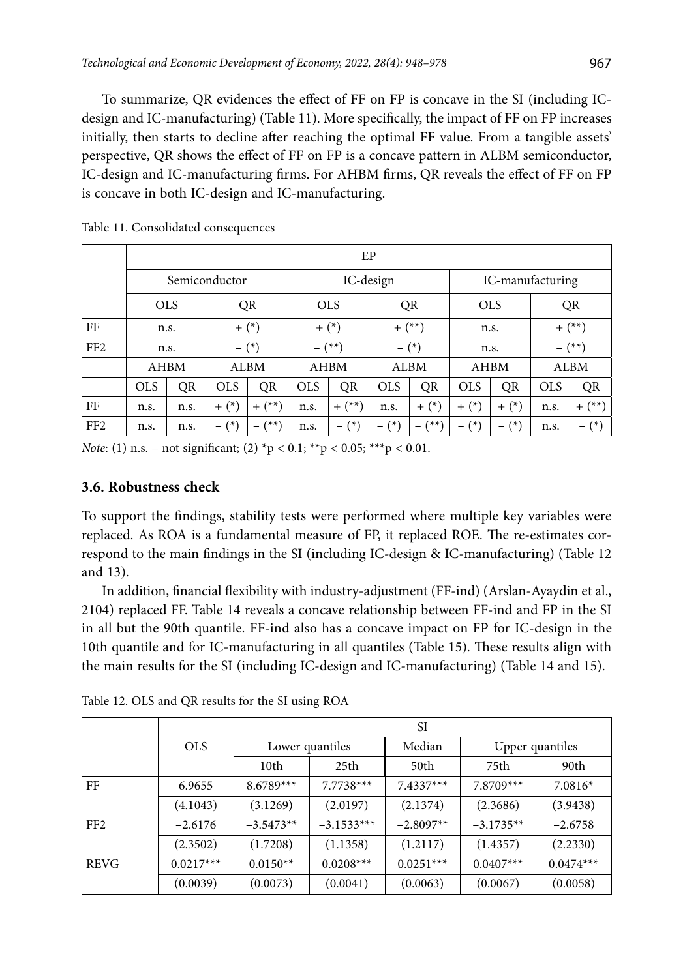To summarize, QR evidences the effect of FF on FP is concave in the SI (including ICdesign and IC-manufacturing) (Table 11). More specifically, the impact of FF on FP increases initially, then starts to decline after reaching the optimal FF value. From a tangible assets' perspective, QR shows the effect of FF on FP is a concave pattern in ALBM semiconductor, IC-design and IC-manufacturing firms. For AHBM firms, QR reveals the effect of FF on FP is concave in both IC-design and IC-manufacturing.

|                 |               | EP   |            |                   |            |                |                  |             |                            |             |            |             |
|-----------------|---------------|------|------------|-------------------|------------|----------------|------------------|-------------|----------------------------|-------------|------------|-------------|
|                 | Semiconductor |      |            | IC-design         |            |                | IC-manufacturing |             |                            |             |            |             |
|                 | <b>OLS</b>    |      |            | QR                |            | <b>OLS</b>     |                  | QR          |                            | <b>OLS</b>  |            | QR          |
| FF              | n.s.          |      |            | $+$ $(*)$         |            | $+$ $(*)$      | $+$ $(**)$       |             |                            | n.s.        | $+$ $(**)$ |             |
| FF <sub>2</sub> | n.s.          |      |            | $-$ (*)           |            | $-$ (**)       |                  | $ (*)$      |                            | n.s.        |            | $-$ (**)    |
|                 | AHBM          |      |            | <b>ALBM</b>       |            | <b>AHBM</b>    |                  | <b>ALBM</b> |                            | <b>AHBM</b> |            | <b>ALBM</b> |
|                 | <b>OLS</b>    | QR   | <b>OLS</b> | QR                | <b>OLS</b> | QR             | <b>OLS</b>       | QR          | <b>OLS</b>                 | QR          | <b>OLS</b> | QR          |
| FF              | n.s.          | n.s. | $+$ $(*)$  | $+$ $(**)$        | n.s.       | $+$ $(**)$     | n.s.             | $+$ $(*)$   | $+$ $(*)$                  | $+$ $(*)$   | n.s.       | $+$ $(**)$  |
| FF <sub>2</sub> | n.s.          | n.s. | $ (*)$     | $(x^{\star\star}$ | n.s.       | $(\star)$<br>- | $(*)$<br>-       | (**)        | $(*)$<br>$\qquad \qquad -$ | $(*)$<br>-  | n.s.       | $ (*)$      |

Table 11. Consolidated consequences

*Note*: (1) n.s. – not significant; (2) \*p < 0.1; \*\*p < 0.05; \*\*\*p < 0.01.

### **3.6. Robustness check**

To support the findings, stability tests were performed where multiple key variables were replaced. As ROA is a fundamental measure of FP, it replaced ROE. The re-estimates correspond to the main findings in the SI (including IC-design & IC-manufacturing) (Table 12 and 13).

In addition, financial flexibility with industry-adjustment (FF-ind) (Arslan-Ayaydin et al., 2104) replaced FF. Table 14 reveals a concave relationship between FF-ind and FP in the SI in all but the 90th quantile. FF-ind also has a concave impact on FP for IC-design in the 10th quantile and for IC-manufacturing in all quantiles (Table 15). These results align with the main results for the SI (including IC-design and IC-manufacturing) (Table 14 and 15).

|                 |             | SI              |              |             |                 |             |  |
|-----------------|-------------|-----------------|--------------|-------------|-----------------|-------------|--|
|                 | <b>OLS</b>  | Lower quantiles |              | Median      | Upper quantiles |             |  |
|                 |             | 10th            | 25th         | 50th        | 75th            | 90th        |  |
| FF              | 6.9655      | $8.6789***$     | $7.7738***$  | $7.4337***$ | $7.8709***$     | $7.0816*$   |  |
|                 | (4.1043)    | (3.1269)        | (2.0197)     | (2.1374)    | (2.3686)        | (3.9438)    |  |
| FF <sub>2</sub> | $-2.6176$   | $-3.5473**$     | $-3.1533***$ | $-2.8097**$ | $-3.1735**$     | $-2.6758$   |  |
|                 | (2.3502)    | (1.7208)        | (1.1358)     | (1.2117)    | (1.4357)        | (2.2330)    |  |
| <b>REVG</b>     | $0.0217***$ | $0.0150**$      | $0.0208***$  | $0.0251***$ | $0.0407***$     | $0.0474***$ |  |
|                 | (0.0039)    | (0.0073)        | (0.0041)     | (0.0063)    | (0.0067)        | (0.0058)    |  |

Table 12. OLS and QR results for the SI using ROA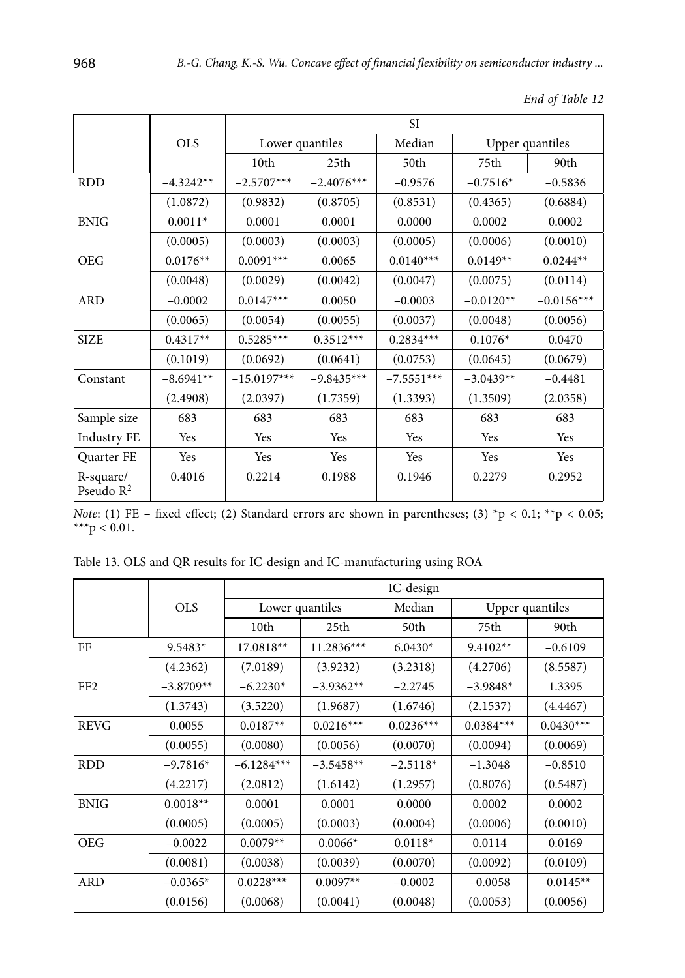|                           |             | <b>SI</b>       |              |              |                 |              |  |
|---------------------------|-------------|-----------------|--------------|--------------|-----------------|--------------|--|
|                           | <b>OLS</b>  | Lower quantiles |              | Median       | Upper quantiles |              |  |
|                           |             | 10th            | 25th         | 50th         | 75th            | 90th         |  |
| <b>RDD</b>                | $-4.3242**$ | $-2.5707***$    | $-2.4076***$ | $-0.9576$    | $-0.7516*$      | $-0.5836$    |  |
|                           | (1.0872)    | (0.9832)        | (0.8705)     | (0.8531)     | (0.4365)        | (0.6884)     |  |
| <b>BNIG</b>               | $0.0011*$   | 0.0001          | 0.0001       | 0.0000       | 0.0002          | 0.0002       |  |
|                           | (0.0005)    | (0.0003)        | (0.0003)     | (0.0005)     | (0.0006)        | (0.0010)     |  |
| <b>OEG</b>                | $0.0176**$  | $0.0091***$     | 0.0065       | $0.0140***$  | $0.0149**$      | $0.0244**$   |  |
|                           | (0.0048)    | (0.0029)        | (0.0042)     | (0.0047)     | (0.0075)        | (0.0114)     |  |
| <b>ARD</b>                | $-0.0002$   | $0.0147***$     | 0.0050       | $-0.0003$    | $-0.0120**$     | $-0.0156***$ |  |
|                           | (0.0065)    | (0.0054)        | (0.0055)     | (0.0037)     | (0.0048)        | (0.0056)     |  |
| <b>SIZE</b>               | $0.4317**$  | $0.5285***$     | $0.3512***$  | $0.2834***$  | $0.1076*$       | 0.0470       |  |
|                           | (0.1019)    | (0.0692)        | (0.0641)     | (0.0753)     | (0.0645)        | (0.0679)     |  |
| Constant                  | $-8.6941**$ | $-15.0197***$   | $-9.8435***$ | $-7.5551***$ | $-3.0439**$     | $-0.4481$    |  |
|                           | (2.4908)    | (2.0397)        | (1.7359)     | (1.3393)     | (1.3509)        | (2.0358)     |  |
| Sample size               | 683         | 683             | 683          | 683          | 683             | 683          |  |
| <b>Industry FE</b>        | Yes         | Yes             | Yes          | Yes          | Yes             | Yes          |  |
| <b>Quarter FE</b>         | Yes         | Yes             | Yes          | Yes          | Yes             | Yes          |  |
| R-square/<br>Pseudo $R^2$ | 0.4016      | 0.2214          | 0.1988       | 0.1946       | 0.2279          | 0.2952       |  |

| End of Table 12 |  |  |  |
|-----------------|--|--|--|
|-----------------|--|--|--|

*Note*: (1) FE – fixed effect; (2) Standard errors are shown in parentheses; (3)  $p < 0.1$ ;  $p > 0.05$ ; \*\*\* $p < 0.01$ .

Table 13. OLS and QR results for IC-design and IC-manufacturing using ROA

|                 |             | IC-design    |                 |             |                 |             |  |
|-----------------|-------------|--------------|-----------------|-------------|-----------------|-------------|--|
|                 | <b>OLS</b>  |              | Lower quantiles | Median      | Upper quantiles |             |  |
|                 |             | 10th         | 25th            | 50th        | 75th            | 90th        |  |
| FF              | $9.5483*$   | 17.0818**    | $11.2836***$    | $6.0430*$   | $9.4102**$      | $-0.6109$   |  |
|                 | (4.2362)    | (7.0189)     | (3.9232)        | (3.2318)    | (4.2706)        | (8.5587)    |  |
| FF <sub>2</sub> | $-3.8709**$ | $-6.2230*$   | $-3.9362**$     | $-2.2745$   | $-3.9848*$      | 1.3395      |  |
|                 | (1.3743)    | (3.5220)     | (1.9687)        | (1.6746)    | (2.1537)        | (4.4467)    |  |
| <b>REVG</b>     | 0.0055      | $0.0187**$   | $0.0216***$     | $0.0236***$ | $0.0384***$     | $0.0430***$ |  |
|                 | (0.0055)    | (0.0080)     | (0.0056)        | (0.0070)    | (0.0094)        | (0.0069)    |  |
| <b>RDD</b>      | $-9.7816*$  | $-6.1284***$ | $-3.5458**$     | $-2.5118*$  | $-1.3048$       | $-0.8510$   |  |
|                 | (4.2217)    | (2.0812)     | (1.6142)        | (1.2957)    | (0.8076)        | (0.5487)    |  |
| <b>BNIG</b>     | $0.0018**$  | 0.0001       | 0.0001          | 0.0000      | 0.0002          | 0.0002      |  |
|                 | (0.0005)    | (0.0005)     | (0.0003)        | (0.0004)    | (0.0006)        | (0.0010)    |  |
| <b>OEG</b>      | $-0.0022$   | $0.0079**$   | $0.0066*$       | $0.0118*$   | 0.0114          | 0.0169      |  |
|                 | (0.0081)    | (0.0038)     | (0.0039)        | (0.0070)    | (0.0092)        | (0.0109)    |  |
| <b>ARD</b>      | $-0.0365*$  | $0.0228***$  | $0.0097**$      | $-0.0002$   | $-0.0058$       | $-0.0145**$ |  |
|                 | (0.0156)    | (0.0068)     | (0.0041)        | (0.0048)    | (0.0053)        | (0.0056)    |  |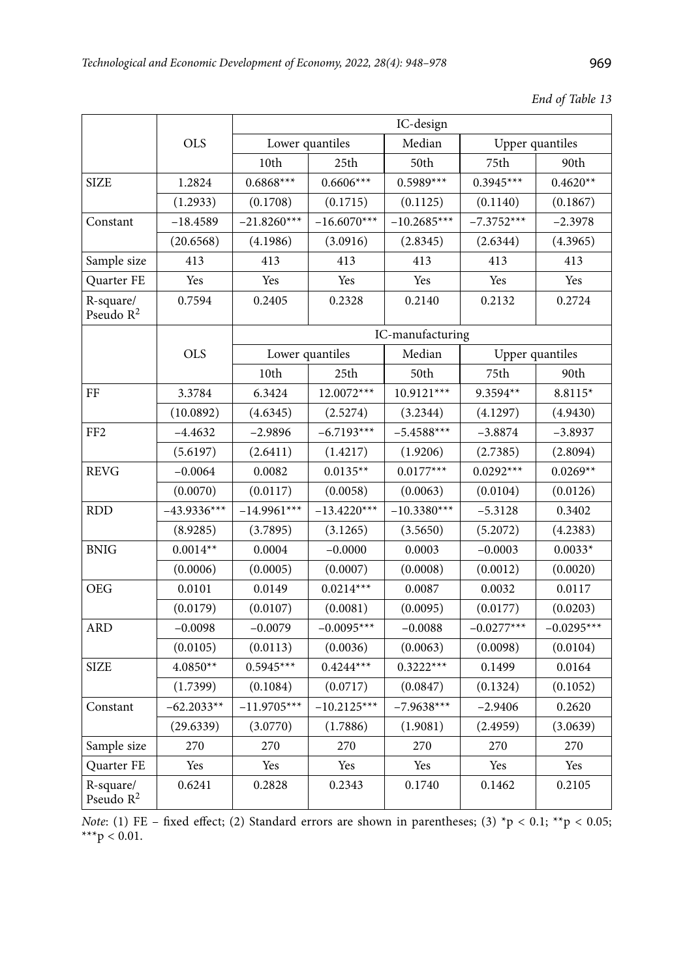|                                    |               |                  |                  | IC-design     |              |                 |
|------------------------------------|---------------|------------------|------------------|---------------|--------------|-----------------|
|                                    | <b>OLS</b>    |                  | Lower quantiles  | Median        |              | Upper quantiles |
|                                    |               | 10th             | 25 <sub>th</sub> | 50th          | 75th         | 90th            |
| <b>SIZE</b>                        | 1.2824        | $0.6868***$      | $0.6606***$      | $0.5989***$   | $0.3945***$  | $0.4620**$      |
|                                    | (1.2933)      | (0.1708)         | (0.1715)         | (0.1125)      | (0.1140)     | (0.1867)        |
| Constant                           | $-18.4589$    | $-21.8260***$    | $-16.6070***$    | $-10.2685***$ | $-7.3752***$ | $-2.3978$       |
|                                    | (20.6568)     | (4.1986)         | (3.0916)         | (2.8345)      | (2.6344)     | (4.3965)        |
| Sample size                        | 413           | 413              | 413              | 413           | 413          | 413             |
| Quarter FE                         | Yes           | Yes              | Yes              | Yes           | Yes          | Yes             |
| R-square/<br>Pseudo R <sup>2</sup> | 0.7594        | 0.2405           | 0.2328           | 0.2140        | 0.2132       | 0.2724          |
|                                    |               | IC-manufacturing |                  |               |              |                 |
|                                    | <b>OLS</b>    |                  | Lower quantiles  | Median        |              | Upper quantiles |
|                                    |               | 10th             | 25th             | 50th          | 75th         | 90th            |
| FF                                 | 3.3784        | 6.3424           | 12.0072***       | 10.9121***    | 9.3594**     | 8.8115*         |
|                                    | (10.0892)     | (4.6345)         | (2.5274)         | (3.2344)      | (4.1297)     | (4.9430)        |
| FF <sub>2</sub>                    | $-4.4632$     | $-2.9896$        | $-6.7193***$     | $-5.4588***$  | $-3.8874$    | $-3.8937$       |
|                                    | (5.6197)      | (2.6411)         | (1.4217)         | (1.9206)      | (2.7385)     | (2.8094)        |
| <b>REVG</b>                        | $-0.0064$     | 0.0082           | $0.0135**$       | $0.0177***$   | $0.0292***$  | $0.0269**$      |
|                                    | (0.0070)      | (0.0117)         | (0.0058)         | (0.0063)      | (0.0104)     | (0.0126)        |
| <b>RDD</b>                         | $-43.9336***$ | $-14.9961***$    | $-13.4220***$    | $-10.3380***$ | $-5.3128$    | 0.3402          |
|                                    | (8.9285)      | (3.7895)         | (3.1265)         | (3.5650)      | (5.2072)     | (4.2383)        |
| <b>BNIG</b>                        | $0.0014**$    | 0.0004           | $-0.0000$        | 0.0003        | $-0.0003$    | $0.0033*$       |
|                                    | (0.0006)      | (0.0005)         | (0.0007)         | (0.0008)      | (0.0012)     | (0.0020)        |
| <b>OEG</b>                         | 0.0101        | 0.0149           | $0.0214***$      | 0.0087        | 0.0032       | 0.0117          |
|                                    | (0.0179)      | (0.0107)         | (0.0081)         | (0.0095)      | (0.0177)     | (0.0203)        |
| ARD                                | $-0.0098$     | $-0.0079$        | $-0.0095***$     | $-0.0088$     | $-0.0277***$ | $-0.0295***$    |
|                                    | (0.0105)      | (0.0113)         | (0.0036)         | (0.0063)      | (0.0098)     | (0.0104)        |
| <b>SIZE</b>                        | $4.0850**$    | $0.5945***$      | $0.4244***$      | $0.3222***$   | 0.1499       | 0.0164          |
|                                    | (1.7399)      | (0.1084)         | (0.0717)         | (0.0847)      | (0.1324)     | (0.1052)        |
| Constant                           | $-62.2033**$  | $-11.9705***$    | $-10.2125***$    | $-7.9638***$  | $-2.9406$    | 0.2620          |
|                                    | (29.6339)     | (3.0770)         | (1.7886)         | (1.9081)      | (2.4959)     | (3.0639)        |
| Sample size                        | 270           | 270              | 270              | 270           | 270          | 270             |
| Quarter FE                         | Yes           | Yes              | Yes              | Yes           | Yes          | Yes             |
| R-square/<br>Pseudo $R^2$          | 0.6241        | 0.2828           | 0.2343           | 0.1740        | 0.1462       | 0.2105          |

*Note*: (1) FE – fixed effect; (2) Standard errors are shown in parentheses; (3)  $^{\ast}p < 0.1$ ;  $^{\ast\ast}p < 0.05$ ; \*\*\* $p < 0.01$ .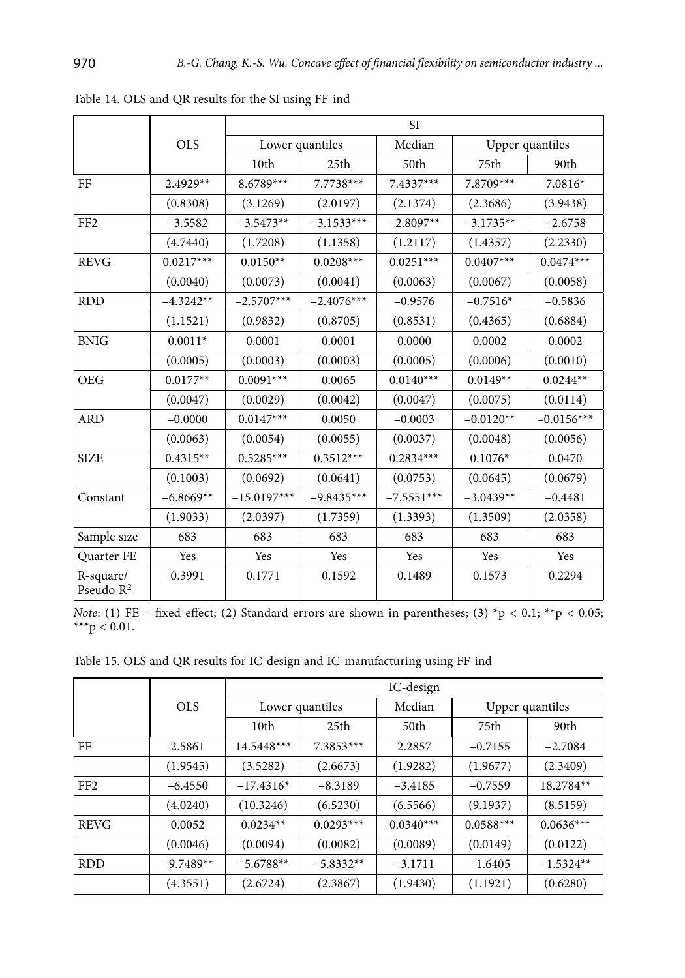|                                    |             |               | <b>SI</b>        |              |             |                 |  |
|------------------------------------|-------------|---------------|------------------|--------------|-------------|-----------------|--|
|                                    | <b>OLS</b>  |               | Lower quantiles  | Median       |             | Upper quantiles |  |
|                                    |             | 10th          | 25 <sub>th</sub> | 50th         | 75th        | 90th            |  |
| FF                                 | $2.4929**$  | 8.6789***     | $7.7738***$      | $7.4337***$  | 7.8709***   | $7.0816*$       |  |
|                                    | (0.8308)    | (3.1269)      | (2.0197)         | (2.1374)     | (2.3686)    | (3.9438)        |  |
| FF <sub>2</sub>                    | $-3.5582$   | $-3.5473**$   | $-3.1533***$     | $-2.8097**$  | $-3.1735**$ | $-2.6758$       |  |
|                                    | (4.7440)    | (1.7208)      | (1.1358)         | (1.2117)     | (1.4357)    | (2.2330)        |  |
| <b>REVG</b>                        | $0.0217***$ | $0.0150**$    | $0.0208***$      | $0.0251***$  | $0.0407***$ | $0.0474***$     |  |
|                                    | (0.0040)    | (0.0073)      | (0.0041)         | (0.0063)     | (0.0067)    | (0.0058)        |  |
| <b>RDD</b>                         | $-4.3242**$ | $-2.5707***$  | $-2.4076***$     | $-0.9576$    | $-0.7516*$  | $-0.5836$       |  |
|                                    | (1.1521)    | (0.9832)      | (0.8705)         | (0.8531)     | (0.4365)    | (0.6884)        |  |
| <b>BNIG</b>                        | $0.0011*$   | 0.0001        | 0.0001           | 0.0000       | 0.0002      | 0.0002          |  |
|                                    | (0.0005)    | (0.0003)      | (0.0003)         | (0.0005)     | (0.0006)    | (0.0010)        |  |
| <b>OEG</b>                         | $0.0177**$  | $0.0091***$   | 0.0065           | $0.0140***$  | $0.0149**$  | $0.0244**$      |  |
|                                    | (0.0047)    | (0.0029)      | (0.0042)         | (0.0047)     | (0.0075)    | (0.0114)        |  |
| <b>ARD</b>                         | $-0.0000$   | $0.0147***$   | 0.0050           | $-0.0003$    | $-0.0120**$ | $-0.0156***$    |  |
|                                    | (0.0063)    | (0.0054)      | (0.0055)         | (0.0037)     | (0.0048)    | (0.0056)        |  |
| <b>SIZE</b>                        | $0.4315**$  | $0.5285***$   | $0.3512***$      | $0.2834***$  | $0.1076*$   | 0.0470          |  |
|                                    | (0.1003)    | (0.0692)      | (0.0641)         | (0.0753)     | (0.0645)    | (0.0679)        |  |
| Constant                           | $-6.8669**$ | $-15.0197***$ | $-9.8435***$     | $-7.5551***$ | $-3.0439**$ | $-0.4481$       |  |
|                                    | (1.9033)    | (2.0397)      | (1.7359)         | (1.3393)     | (1.3509)    | (2.0358)        |  |
| Sample size                        | 683         | 683           | 683              | 683          | 683         | 683             |  |
| Quarter FE                         | Yes         | Yes           | Yes              | Yes          | Yes         | Yes             |  |
| R-square/<br>Pseudo R <sup>2</sup> | 0.3991      | 0.1771        | 0.1592           | 0.1489       | 0.1573      | 0.2294          |  |

Table 14. OLS and QR results for the SI using FF-ind

*Note*: (1) FE – fixed effect; (2) Standard errors are shown in parentheses; (3)  $\tau$   $> 0.1$ ;  $\star$  $\tau$   $> 0.05$ ; \*\*\* $p < 0.01$ .

Table 15. OLS and QR results for IC-design and IC-manufacturing using FF-ind

|                 |             | IC-design    |                 |             |                 |             |  |
|-----------------|-------------|--------------|-----------------|-------------|-----------------|-------------|--|
|                 | <b>OLS</b>  |              | Lower quantiles |             | Upper quantiles |             |  |
|                 |             | 10th         | 25th            | 50th        | 75th            | 90th        |  |
| FF              | 2.5861      | $14.5448***$ | $7.3853***$     | 2.2857      | $-0.7155$       | $-2.7084$   |  |
|                 | (1.9545)    | (3.5282)     | (2.6673)        | (1.9282)    | (1.9677)        | (2.3409)    |  |
| FF <sub>2</sub> | $-6.4550$   | $-17.4316*$  | $-8.3189$       | $-3.4185$   | $-0.7559$       | 18.2784**   |  |
|                 | (4.0240)    | (10.3246)    | (6.5230)        | (6.5566)    | (9.1937)        | (8.5159)    |  |
| <b>REVG</b>     | 0.0052      | $0.0234**$   | $0.0293***$     | $0.0340***$ | $0.0588***$     | $0.0636***$ |  |
|                 | (0.0046)    | (0.0094)     | (0.0082)        | (0.0089)    | (0.0149)        | (0.0122)    |  |
| <b>RDD</b>      | $-9.7489**$ | $-5.6788**$  | $-5.8332**$     | $-3.1711$   | $-1.6405$       | $-1.5324**$ |  |
|                 | (4.3551)    | (2.6724)     | (2.3867)        | (1.9430)    | (1.1921)        | (0.6280)    |  |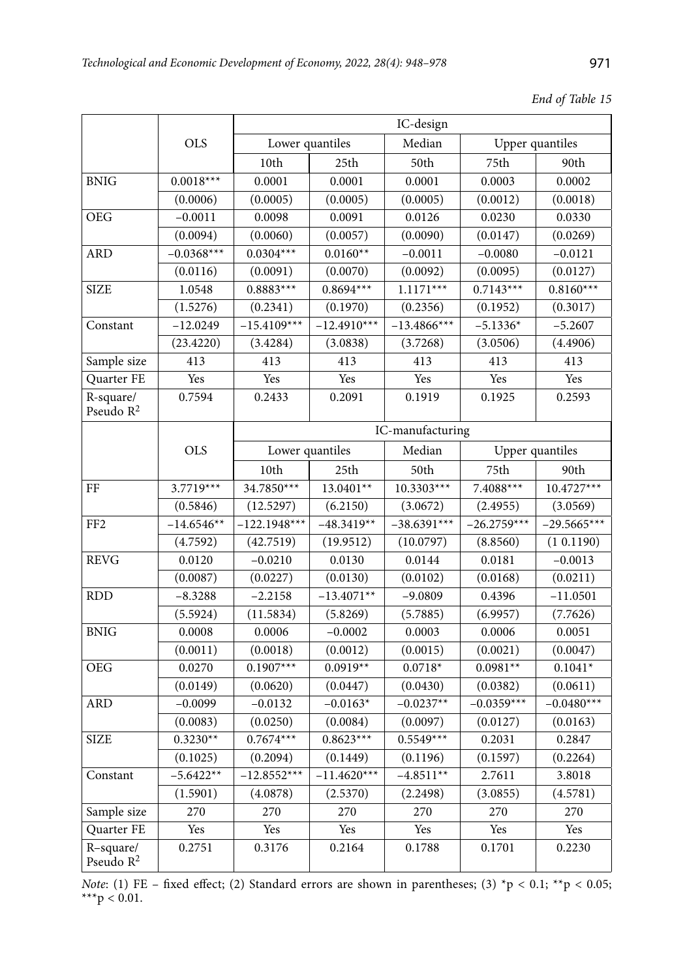|                                                                   |              |                |                 | IC-design        |               |                 |
|-------------------------------------------------------------------|--------------|----------------|-----------------|------------------|---------------|-----------------|
|                                                                   | <b>OLS</b>   |                | Lower quantiles | Median           |               | Upper quantiles |
|                                                                   |              | 10th           | 25th            | 50th             | 75th          | 90th            |
| <b>BNIG</b>                                                       | $0.0018***$  | 0.0001         | 0.0001          | 0.0001           | 0.0003        | 0.0002          |
|                                                                   | (0.0006)     | (0.0005)       | (0.0005)        | (0.0005)         | (0.0012)      | (0.0018)        |
| <b>OEG</b>                                                        | $-0.0011$    | 0.0098         | 0.0091          | 0.0126           | 0.0230        | 0.0330          |
|                                                                   | (0.0094)     | (0.0060)       | (0.0057)        | (0.0090)         | (0.0147)      | (0.0269)        |
| <b>ARD</b>                                                        | $-0.0368***$ | $0.0304***$    | $0.0160**$      | $-0.0011$        | $-0.0080$     | $-0.0121$       |
|                                                                   | (0.0116)     | (0.0091)       | (0.0070)        | (0.0092)         | (0.0095)      | (0.0127)        |
| <b>SIZE</b>                                                       | 1.0548       | $0.8883***$    | $0.8694***$     | $1.1171***$      | $0.7143***$   | $0.8160***$     |
|                                                                   | (1.5276)     | (0.2341)       | (0.1970)        | (0.2356)         | (0.1952)      | (0.3017)        |
| Constant                                                          | $-12.0249$   | $-15.4109***$  | $-12.4910***$   | $-13.4866$ ***   | $-5.1336*$    | $-5.2607$       |
|                                                                   | (23.4220)    | (3.4284)       | (3.0838)        | (3.7268)         | (3.0506)      | (4.4906)        |
| Sample size                                                       | 413          | 413            | 413             | 413              | 413           | 413             |
| Quarter FE                                                        | Yes          | Yes            | Yes             | Yes              | Yes           | Yes             |
| R-square/<br>0.7594<br>0.2433<br>0.2091<br>0.1919<br>Pseudo $R^2$ |              | 0.1925         | 0.2593          |                  |               |                 |
|                                                                   |              |                |                 | IC-manufacturing |               |                 |
|                                                                   | <b>OLS</b>   |                | Lower quantiles | Median           |               | Upper quantiles |
|                                                                   |              | 10th           | 25th            | 50th             | 75th          | 90th            |
| FF                                                                | $3.7719***$  | 34.7850***     | 13.0401**       | 10.3303***       | 7.4088***     | $10.4727***$    |
|                                                                   | (0.5846)     | (12.5297)      | (6.2150)        | (3.0672)         | (2.4955)      | (3.0569)        |
| FF <sub>2</sub>                                                   | $-14.6546**$ | $-122.1948***$ | $-48.3419**$    | $-38.6391***$    | $-26.2759***$ | $-29.5665***$   |
|                                                                   | (4.7592)     | (42.7519)      | (19.9512)       | (10.0797)        | (8.8560)      | (1 0.1190)      |
| <b>REVG</b>                                                       | 0.0120       | $-0.0210$      | 0.0130          | 0.0144           | 0.0181        | $-0.0013$       |
|                                                                   | (0.0087)     | (0.0227)       | (0.0130)        | (0.0102)         | (0.0168)      | (0.0211)        |
| <b>RDD</b>                                                        | $-8.3288$    | $-2.2158$      | $-13.4071**$    | $-9.0809$        | 0.4396        | $-11.0501$      |
|                                                                   | (5.5924)     | (11.5834)      | (5.8269)        | (5.7885)         | (6.9957)      | (7.7626)        |
| <b>BNIG</b>                                                       | 0.0008       | 0.0006         | $-0.0002$       | 0.0003           | 0.0006        | 0.0051          |
|                                                                   | (0.0011)     | (0.0018)       | (0.0012)        | (0.0015)         | (0.0021)      | (0.0047)        |
| <b>OEG</b>                                                        | 0.0270       | $0.1907***$    | $0.0919**$      | $0.0718*$        | $0.0981**$    | $0.1041*$       |
|                                                                   | (0.0149)     | (0.0620)       | (0.0447)        | (0.0430)         | (0.0382)      | (0.0611)        |
| ARD                                                               | $-0.0099$    | $-0.0132$      | $-0.0163*$      | $-0.0237**$      | $-0.0359***$  | $-0.0480***$    |
|                                                                   | (0.0083)     | (0.0250)       | (0.0084)        | (0.0097)         | (0.0127)      | (0.0163)        |
| <b>SIZE</b>                                                       | $0.3230**$   | $0.7674***$    | $0.8623***$     | $0.5549***$      | 0.2031        | 0.2847          |
|                                                                   | (0.1025)     | (0.2094)       | (0.1449)        | (0.1196)         | (0.1597)      | (0.2264)        |
| Constant                                                          | $-5.6422**$  | $-12.8552***$  | $-11.4620***$   | $-4.8511**$      | 2.7611        | 3.8018          |
|                                                                   | (1.5901)     | (4.0878)       | (2.5370)        | (2.2498)         | (3.0855)      | (4.5781)        |
| Sample size                                                       | 270          | 270            | 270             | 270              | 270           | 270             |
| Quarter FE                                                        | Yes          | Yes            | Yes             | Yes              | Yes           | Yes             |
| R-square/<br>Pseudo $R^2$                                         | 0.2751       | 0.3176         | 0.2164          | 0.1788           | 0.1701        | 0.2230          |

*Note*: (1) FE – fixed effect; (2) Standard errors are shown in parentheses; (3)  $\text{*p} < 0.1$ ;  $\text{*p} < 0.05$ ; \*\*\* $p < 0.01$ .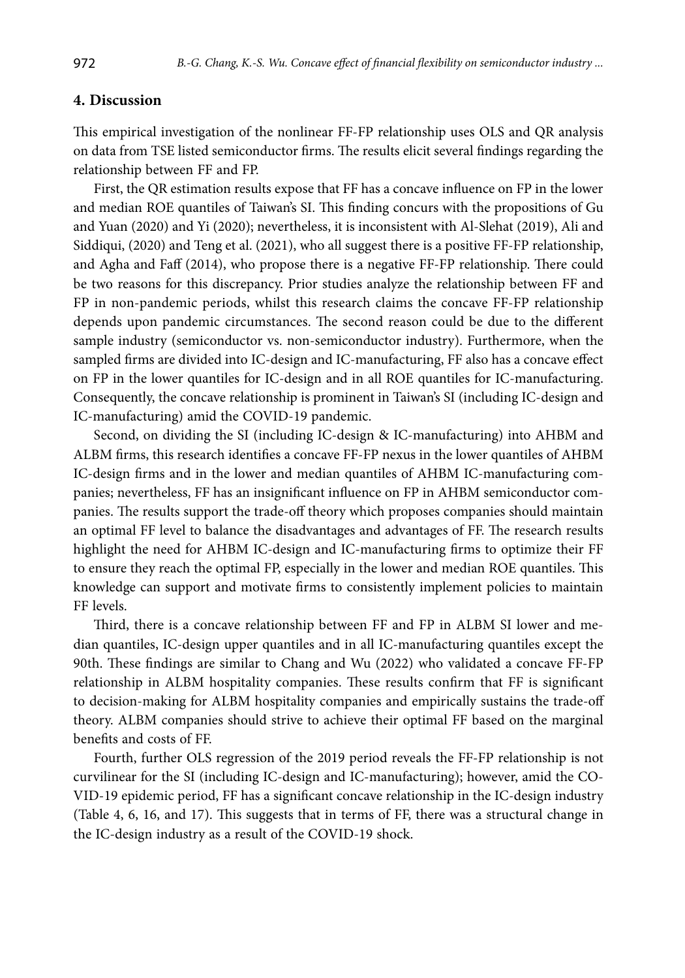## **4. Discussion**

This empirical investigation of the nonlinear FF-FP relationship uses OLS and QR analysis on data from TSE listed semiconductor firms. The results elicit several findings regarding the relationship between FF and FP.

First, the QR estimation results expose that FF has a concave influence on FP in the lower and median ROE quantiles of Taiwan's SI. This finding concurs with the propositions of Gu and Yuan (2020) and Yi (2020); nevertheless, it is inconsistent with Al-Slehat (2019), Ali and Siddiqui, (2020) and Teng et al. (2021), who all suggest there is a positive FF-FP relationship, and Agha and Faff (2014), who propose there is a negative FF-FP relationship. There could be two reasons for this discrepancy. Prior studies analyze the relationship between FF and FP in non-pandemic periods, whilst this research claims the concave FF-FP relationship depends upon pandemic circumstances. The second reason could be due to the different sample industry (semiconductor vs. non-semiconductor industry). Furthermore, when the sampled firms are divided into IC-design and IC-manufacturing, FF also has a concave effect on FP in the lower quantiles for IC-design and in all ROE quantiles for IC-manufacturing. Consequently, the concave relationship is prominent in Taiwan's SI (including IC-design and IC-manufacturing) amid the COVID-19 pandemic.

Second, on dividing the SI (including IC-design & IC-manufacturing) into AHBM and ALBM firms, this research identifies a concave FF-FP nexus in the lower quantiles of AHBM IC-design firms and in the lower and median quantiles of AHBM IC-manufacturing companies; nevertheless, FF has an insignificant influence on FP in AHBM semiconductor companies. The results support the trade-off theory which proposes companies should maintain an optimal FF level to balance the disadvantages and advantages of FF. The research results highlight the need for AHBM IC-design and IC-manufacturing firms to optimize their FF to ensure they reach the optimal FP, especially in the lower and median ROE quantiles. This knowledge can support and motivate firms to consistently implement policies to maintain FF levels.

Third, there is a concave relationship between FF and FP in ALBM SI lower and median quantiles, IC-design upper quantiles and in all IC-manufacturing quantiles except the 90th. These findings are similar to Chang and Wu (2022) who validated a concave FF-FP relationship in ALBM hospitality companies. These results confirm that FF is significant to decision-making for ALBM hospitality companies and empirically sustains the trade-off theory. ALBM companies should strive to achieve their optimal FF based on the marginal benefits and costs of FF.

Fourth, further OLS regression of the 2019 period reveals the FF-FP relationship is not curvilinear for the SI (including IC-design and IC-manufacturing); however, amid the CO-VID-19 epidemic period, FF has a significant concave relationship in the IC-design industry (Table 4, 6, 16, and 17). This suggests that in terms of FF, there was a structural change in the IC-design industry as a result of the COVID-19 shock.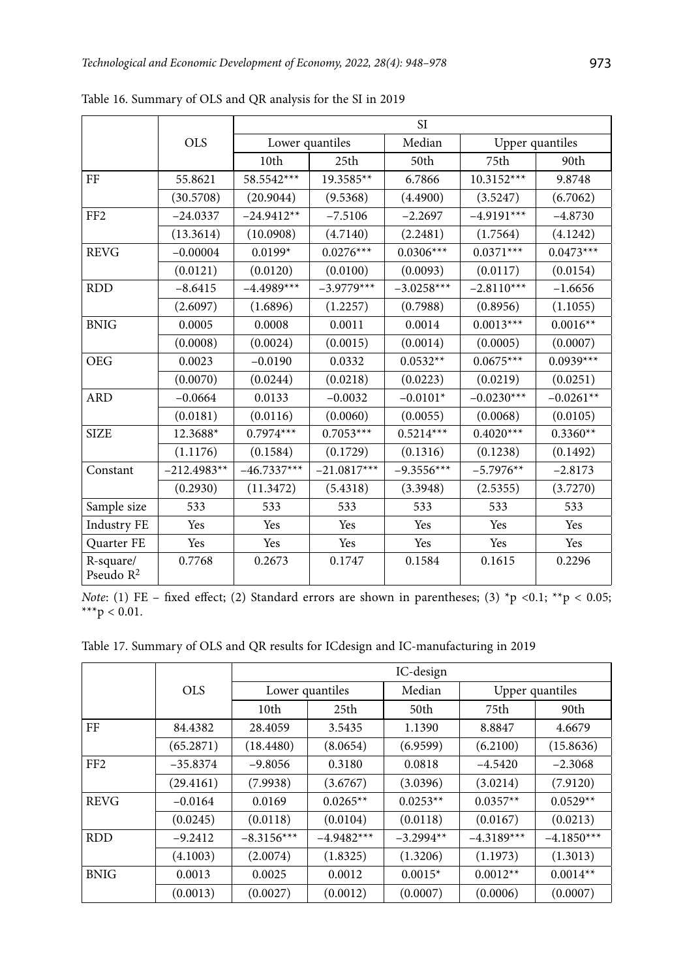|                           |               | <b>SI</b>     |                 |              |              |                 |  |
|---------------------------|---------------|---------------|-----------------|--------------|--------------|-----------------|--|
|                           | <b>OLS</b>    |               | Lower quantiles | Median       |              | Upper quantiles |  |
|                           |               | 10th          | 25th            | 50th         | 75th         | 90th            |  |
| FF                        | 55.8621       | 58.5542***    | 19.3585**       | 6.7866       | $10.3152***$ | 9.8748          |  |
|                           | (30.5708)     | (20.9044)     | (9.5368)        | (4.4900)     | (3.5247)     | (6.7062)        |  |
| FF <sub>2</sub>           | $-24.0337$    | $-24.9412**$  | $-7.5106$       | $-2.2697$    | $-4.9191***$ | $-4.8730$       |  |
|                           | (13.3614)     | (10.0908)     | (4.7140)        | (2.2481)     | (1.7564)     | (4.1242)        |  |
| <b>REVG</b>               | $-0.00004$    | $0.0199*$     | $0.0276***$     | $0.0306***$  | $0.0371***$  | $0.0473***$     |  |
|                           | (0.0121)      | (0.0120)      | (0.0100)        | (0.0093)     | (0.0117)     | (0.0154)        |  |
| <b>RDD</b>                | $-8.6415$     | $-4.4989***$  | $-3.9779***$    | $-3.0258***$ | $-2.8110***$ | $-1.6656$       |  |
|                           | (2.6097)      | (1.6896)      | (1.2257)        | (0.7988)     | (0.8956)     | (1.1055)        |  |
| <b>BNIG</b>               | 0.0005        | 0.0008        | 0.0011          | 0.0014       | $0.0013***$  | $0.0016**$      |  |
|                           | (0.0008)      | (0.0024)      | (0.0015)        | (0.0014)     | (0.0005)     | (0.0007)        |  |
| <b>OEG</b>                | 0.0023        | $-0.0190$     | 0.0332          | $0.0532**$   | $0.0675***$  | $0.0939***$     |  |
|                           | (0.0070)      | (0.0244)      | (0.0218)        | (0.0223)     | (0.0219)     | (0.0251)        |  |
| <b>ARD</b>                | $-0.0664$     | 0.0133        | $-0.0032$       | $-0.0101*$   | $-0.0230***$ | $-0.0261**$     |  |
|                           | (0.0181)      | (0.0116)      | (0.0060)        | (0.0055)     | (0.0068)     | (0.0105)        |  |
| <b>SIZE</b>               | 12.3688*      | $0.7974***$   | $0.7053***$     | $0.5214***$  | $0.4020***$  | $0.3360**$      |  |
|                           | (1.1176)      | (0.1584)      | (0.1729)        | (0.1316)     | (0.1238)     | (0.1492)        |  |
| Constant                  | $-212.4983**$ | $-46.7337***$ | $-21.0817***$   | $-9.3556***$ | $-5.7976**$  | $-2.8173$       |  |
|                           | (0.2930)      | (11.3472)     | (5.4318)        | (3.3948)     | (2.5355)     | (3.7270)        |  |
| Sample size               | 533           | 533           | 533             | 533          | 533          | 533             |  |
| <b>Industry FE</b>        | Yes           | Yes           | Yes             | Yes          | Yes          | Yes             |  |
| Quarter FE                | Yes           | Yes           | Yes             | Yes          | Yes          | Yes             |  |
| R-square/<br>Pseudo $R^2$ | 0.7768        | 0.2673        | 0.1747          | 0.1584       | 0.1615       | 0.2296          |  |

Table 16. Summary of OLS and QR analysis for the SI in 2019

*Note*: (1) FE - fixed effect; (2) Standard errors are shown in parentheses; (3) \*p <0.1; \*\*p < 0.05; \*\*\* $p < 0.01$ .

Table 17. Summary of OLS and QR results for ICdesign and IC-manufacturing in 2019

|                 |            | IC-design       |              |             |                 |              |  |
|-----------------|------------|-----------------|--------------|-------------|-----------------|--------------|--|
|                 | <b>OLS</b> | Lower quantiles |              | Median      | Upper quantiles |              |  |
|                 |            | 10th            | 25th         | 50th        | 75th            | 90th         |  |
| FF              | 84.4382    | 28.4059         | 3.5435       | 1.1390      | 8.8847          | 4.6679       |  |
|                 | (65.2871)  | (18.4480)       | (8.0654)     | (6.9599)    | (6.2100)        | (15.8636)    |  |
| FF <sub>2</sub> | $-35.8374$ | $-9.8056$       | 0.3180       | 0.0818      | $-4.5420$       | $-2.3068$    |  |
|                 | (29.4161)  | (7.9938)        | (3.6767)     | (3.0396)    | (3.0214)        | (7.9120)     |  |
| <b>REVG</b>     | $-0.0164$  | 0.0169          | $0.0265**$   | $0.0253**$  | $0.0357**$      | $0.0529**$   |  |
|                 | (0.0245)   | (0.0118)        | (0.0104)     | (0.0118)    | (0.0167)        | (0.0213)     |  |
| <b>RDD</b>      | $-9.2412$  | $-8.3156***$    | $-4.9482***$ | $-3.2994**$ | $-4.3189***$    | $-4.1850***$ |  |
|                 | (4.1003)   | (2.0074)        | (1.8325)     | (1.3206)    | (1.1973)        | (1.3013)     |  |
| <b>BNIG</b>     | 0.0013     | 0.0025          | 0.0012       | $0.0015*$   | $0.0012**$      | $0.0014**$   |  |
|                 | (0.0013)   | (0.0027)        | (0.0012)     | (0.0007)    | (0.0006)        | (0.0007)     |  |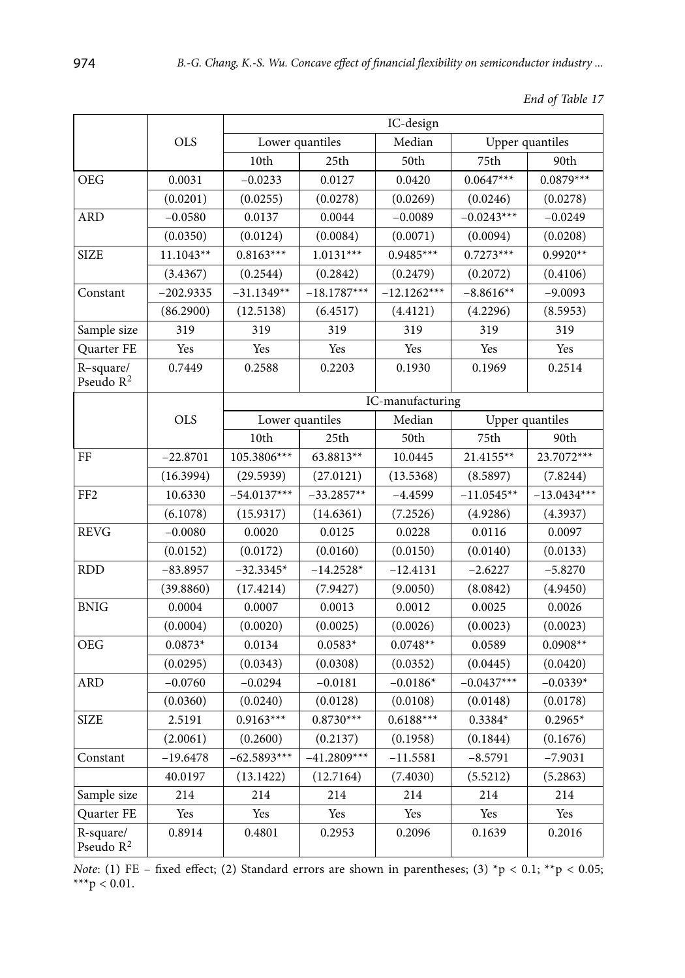|  | End of Table 17 |  |
|--|-----------------|--|
|--|-----------------|--|

|                           |             |                  | IC-design     |               |                 |               |  |
|---------------------------|-------------|------------------|---------------|---------------|-----------------|---------------|--|
|                           | <b>OLS</b>  | Lower quantiles  |               | Median        | Upper quantiles |               |  |
|                           |             | 10th             | 25th          | 50th          | 75th            | 90th          |  |
| <b>OEG</b>                | 0.0031      | $-0.0233$        | 0.0127        | 0.0420        | $0.0647***$     | $0.0879***$   |  |
|                           | (0.0201)    | (0.0255)         | (0.0278)      | (0.0269)      | (0.0246)        | (0.0278)      |  |
| <b>ARD</b>                | $-0.0580$   | 0.0137           | 0.0044        | $-0.0089$     | $-0.0243***$    | $-0.0249$     |  |
|                           | (0.0350)    | (0.0124)         | (0.0084)      | (0.0071)      | (0.0094)        | (0.0208)      |  |
| <b>SIZE</b>               | $11.1043**$ | $0.8163***$      | $1.0131***$   | $0.9485***$   | $0.7273***$     | $0.9920**$    |  |
|                           | (3.4367)    | (0.2544)         | (0.2842)      | (0.2479)      | (0.2072)        | (0.4106)      |  |
| Constant                  | $-202.9335$ | $-31.1349**$     | $-18.1787***$ | $-12.1262***$ | $-8.8616**$     | $-9.0093$     |  |
|                           | (86.2900)   | (12.5138)        | (6.4517)      | (4.4121)      | (4.2296)        | (8.5953)      |  |
| Sample size               | 319         | 319              | 319           | 319           | 319             | 319           |  |
| Quarter FE                | Yes         | Yes              | Yes           | Yes           | Yes             | Yes           |  |
| R-square/<br>Pseudo $R^2$ | 0.7449      | 0.2588           | 0.2203        | 0.1930        | 0.1969          | 0.2514        |  |
|                           | <b>OLS</b>  | IC-manufacturing |               |               |                 |               |  |
|                           |             | Lower quantiles  |               | Median        | Upper quantiles |               |  |
|                           |             | 10th             | 25th          | 50th          | 75th            | 90th          |  |
| FF                        | $-22.8701$  | 105.3806***      | 63.8813**     | 10.0445       | 21.4155**       | 23.7072***    |  |
|                           | (16.3994)   | (29.5939)        | (27.0121)     | (13.5368)     | (8.5897)        | (7.8244)      |  |
| FF <sub>2</sub>           | 10.6330     | $-54.0137***$    | $-33.2857**$  | $-4.4599$     | $-11.0545**$    | $-13.0434***$ |  |
|                           | (6.1078)    | (15.9317)        | (14.6361)     | (7.2526)      | (4.9286)        | (4.3937)      |  |
| <b>REVG</b>               | $-0.0080$   | 0.0020           | 0.0125        | 0.0228        | 0.0116          | 0.0097        |  |
|                           | (0.0152)    | (0.0172)         | (0.0160)      | (0.0150)      | (0.0140)        | (0.0133)      |  |
| <b>RDD</b>                | $-83.8957$  | $-32.3345*$      | $-14.2528*$   | $-12.4131$    | $-2.6227$       | $-5.8270$     |  |
|                           | (39.8860)   | (17.4214)        | (7.9427)      | (9.0050)      | (8.0842)        | (4.9450)      |  |
| <b>BNIG</b>               | 0.0004      | 0.0007           | 0.0013        | 0.0012        | 0.0025          | 0.0026        |  |
|                           | (0.0004)    | (0.0020)         | (0.0025)      | (0.0026)      | (0.0023)        | (0.0023)      |  |
| <b>OEG</b>                | $0.0873*$   | 0.0134           | $0.0583*$     | $0.0748**$    | 0.0589          | $0.0908**$    |  |
|                           | (0.0295)    | (0.0343)         | (0.0308)      | (0.0352)      | (0.0445)        | (0.0420)      |  |
| <b>ARD</b>                | $-0.0760$   | $-0.0294$        | $-0.0181$     | $-0.0186*$    | $-0.0437***$    | $-0.0339*$    |  |
|                           | (0.0360)    | (0.0240)         | (0.0128)      | (0.0108)      | (0.0148)        | (0.0178)      |  |
| <b>SIZE</b>               | 2.5191      | $0.9163***$      | $0.8730***$   | $0.6188***$   | $0.3384*$       | $0.2965*$     |  |
|                           | (2.0061)    | (0.2600)         | (0.2137)      | (0.1958)      | (0.1844)        | (0.1676)      |  |
| Constant                  | $-19.6478$  | $-62.5893***$    | $-41.2809***$ | $-11.5581$    | $-8.5791$       | $-7.9031$     |  |
|                           | 40.0197     | (13.1422)        | (12.7164)     | (7.4030)      | (5.5212)        | (5.2863)      |  |
| Sample size               | 214         | 214              | 214           | 214           | 214             | 214           |  |
| Quarter FE                | Yes         | Yes              | Yes           | Yes           | Yes             | Yes           |  |
| R-square/<br>Pseudo $R^2$ | 0.8914      | 0.4801           | 0.2953        | 0.2096        | 0.1639          | 0.2016        |  |

*Note*: (1) FE – fixed effect; (2) Standard errors are shown in parentheses; (3)  $\text{*p} < 0.1$ ;  $\text{*p} < 0.05$ ; \*\*\* $p < 0.01$ .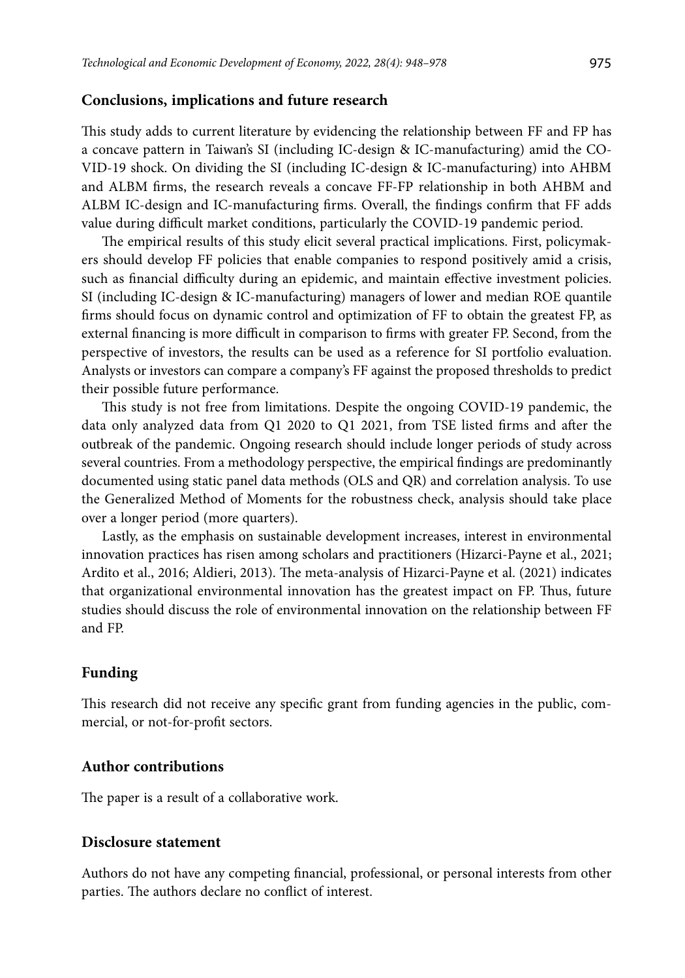### **Conclusions, implications and future research**

This study adds to current literature by evidencing the relationship between FF and FP has a concave pattern in Taiwan's SI (including IC-design & IC-manufacturing) amid the CO-VID-19 shock. On dividing the SI (including IC-design & IC-manufacturing) into AHBM and ALBM firms, the research reveals a concave FF-FP relationship in both AHBM and ALBM IC-design and IC-manufacturing firms. Overall, the findings confirm that FF adds value during difficult market conditions, particularly the COVID-19 pandemic period.

The empirical results of this study elicit several practical implications. First, policymakers should develop FF policies that enable companies to respond positively amid a crisis, such as financial difficulty during an epidemic, and maintain effective investment policies. SI (including IC-design & IC-manufacturing) managers of lower and median ROE quantile firms should focus on dynamic control and optimization of FF to obtain the greatest FP, as external financing is more difficult in comparison to firms with greater FP. Second, from the perspective of investors, the results can be used as a reference for SI portfolio evaluation. Analysts or investors can compare a company's FF against the proposed thresholds to predict their possible future performance.

This study is not free from limitations. Despite the ongoing COVID-19 pandemic, the data only analyzed data from Q1 2020 to Q1 2021, from TSE listed firms and after the outbreak of the pandemic. Ongoing research should include longer periods of study across several countries. From a methodology perspective, the empirical findings are predominantly documented using static panel data methods (OLS and QR) and correlation analysis. To use the Generalized Method of Moments for the robustness check, analysis should take place over a longer period (more quarters).

Lastly, as the emphasis on sustainable development increases, interest in environmental innovation practices has risen among scholars and practitioners (Hizarci-Payne et al., 2021; Ardito et al., 2016; Aldieri, 2013). The meta-analysis of Hizarci-Payne et al. (2021) indicates that organizational environmental innovation has the greatest impact on FP. Thus, future studies should discuss the role of environmental innovation on the relationship between FF and FP.

### **Funding**

This research did not receive any specific grant from funding agencies in the public, commercial, or not-for-profit sectors.

### **Author contributions**

The paper is a result of a collaborative work.

## **Disclosure statement**

Authors do not have any competing financial, professional, or personal interests from other parties. The authors declare no conflict of interest.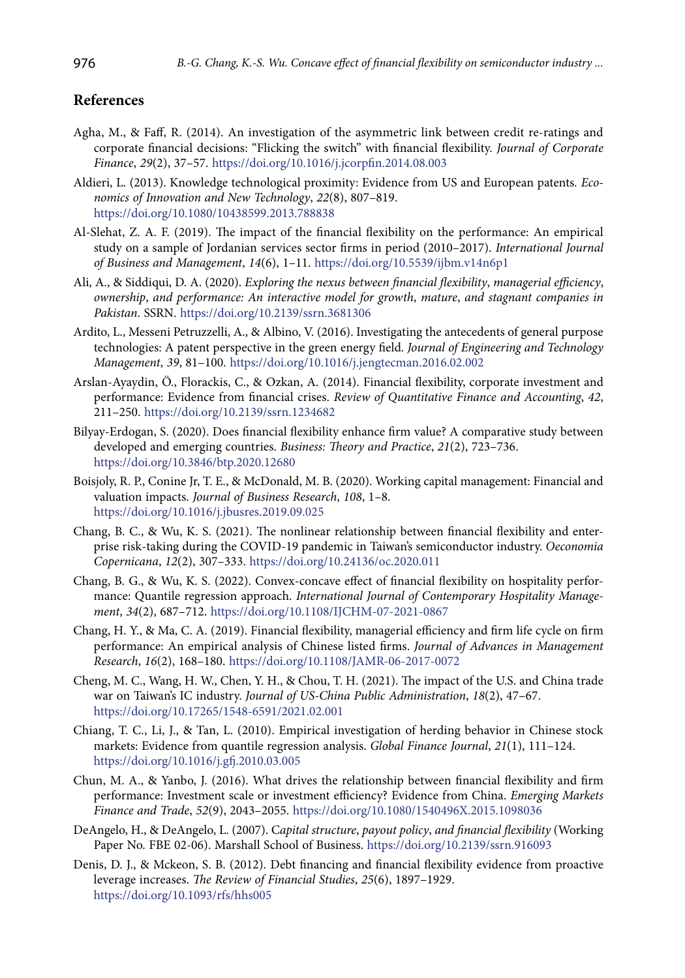## **References**

- Agha, M., & Faff, R. (2014). An investigation of the asymmetric link between credit re-ratings and corporate financial decisions: "Flicking the switch" with financial flexibility. *Journal of Corporate Finance*, *29*(2), 37–57.<https://doi.org/10.1016/j.jcorpfin.2014.08.003>
- Aldieri, L. (2013). Knowledge technological proximity: Evidence from US and European patents*. Economics of Innovation and New Technology*, *22*(8), 807–819. <https://doi.org/10.1080/10438599.2013.788838>
- Al-Slehat, Z. A. F. (2019). The impact of the financial flexibility on the performance: An empirical study on a sample of Jordanian services sector firms in period (2010–2017). *International Journal of Business and Management*, *14*(6), 1–11. <https://doi.org/10.5539/ijbm.v14n6p1>
- Ali, A., & Siddiqui, D. A. (2020). *Exploring the nexus between financial flexibility*, *managerial efficiency*, *ownership*, *and performance: An interactive model for growth*, *mature*, *and stagnant companies in Pakistan*. SSRN. <https://doi.org/10.2139/ssrn.3681306>
- Ardito, L., Messeni Petruzzelli, A., & Albino, V. (2016). Investigating the antecedents of general purpose technologies: A patent perspective in the green energy field. *Journal of Engineering and Technology Management*, *39*, 81–100. <https://doi.org/10.1016/j.jengtecman.2016.02.002>
- Arslan-Ayaydin, Ö., Florackis, C., & Ozkan, A. (2014). Financial flexibility, corporate investment and performance: Evidence from financial crises. *Review of Quantitative Finance and Accounting*, *42*, 211–250. <https://doi.org/10.2139/ssrn.1234682>
- Bilyay-Erdogan, S. (2020). Does financial flexibility enhance firm value? A comparative study between developed and emerging countries. *Business: Theory and Practice*, *21*(2), 723–736. <https://doi.org/10.3846/btp.2020.12680>
- Boisjoly, R. P., Conine Jr, T. E., & McDonald, M. B. (2020). Working capital management: Financial and valuation impacts. *Journal of Business Research*, *108*, 1–8. <https://doi.org/10.1016/j.jbusres.2019.09.025>
- Chang, B. C., & Wu, K. S. (2021). The nonlinear relationship between financial flexibility and enterprise risk-taking during the COVID-19 pandemic in Taiwan's semiconductor industry. *Oeconomia Copernicana*, *12*(2), 307–333.<https://doi.org/10.24136/oc.2020.011>
- Chang, B. G., & Wu, K. S. (2022). Convex-concave effect of financial flexibility on hospitality performance: Quantile regression approach. *International Journal of Contemporary Hospitality Management*, *34*(2), 687–712. <https://doi.org/10.1108/IJCHM-07-2021-0867>
- Chang, H. Y., & Ma, C. A. (2019). Financial flexibility, managerial efficiency and firm life cycle on firm performance: An empirical analysis of Chinese listed firms. *Journal of Advances in Management Research*, *16*(2), 168–180. <https://doi.org/10.1108/JAMR-06-2017-0072>
- Cheng, M. C., Wang, H. W., Chen, Y. H., & Chou, T. H. (2021). The impact of the U.S. and China trade war on Taiwan's IC industry. *Journal of US-China Public Administration*, *18*(2), 47–67. <https://doi.org/10.17265/1548-6591/2021.02.001>
- Chiang, T. C., Li, J., & Tan, L. (2010). Empirical investigation of herding behavior in Chinese stock markets: Evidence from quantile regression analysis. *Global Finance Journal*, *21*(1), 111–124. <https://doi.org/10.1016/j.gfj.2010.03.005>
- Chun, M. A., & Yanbo, J. (2016). What drives the relationship between financial flexibility and firm performance: Investment scale or investment efficiency? Evidence from China. *Emerging Markets Finance and Trade*, *52*(9), 2043–2055. <https://doi.org/10.1080/1540496X.2015.1098036>
- DeAngelo, H., & DeAngelo, L. (2007). C*apital structure*, *payout policy*, *and financial flexibility* (Working Paper No. FBE 02-06). Marshall School of Business. <https://doi.org/10.2139/ssrn.916093>
- Denis, D. J., & Mckeon, S. B. (2012). Debt financing and financial flexibility evidence from proactive leverage increases. *The Review of Financial Studies*, *25*(6), 1897–1929. <https://doi.org/10.1093/rfs/hhs005>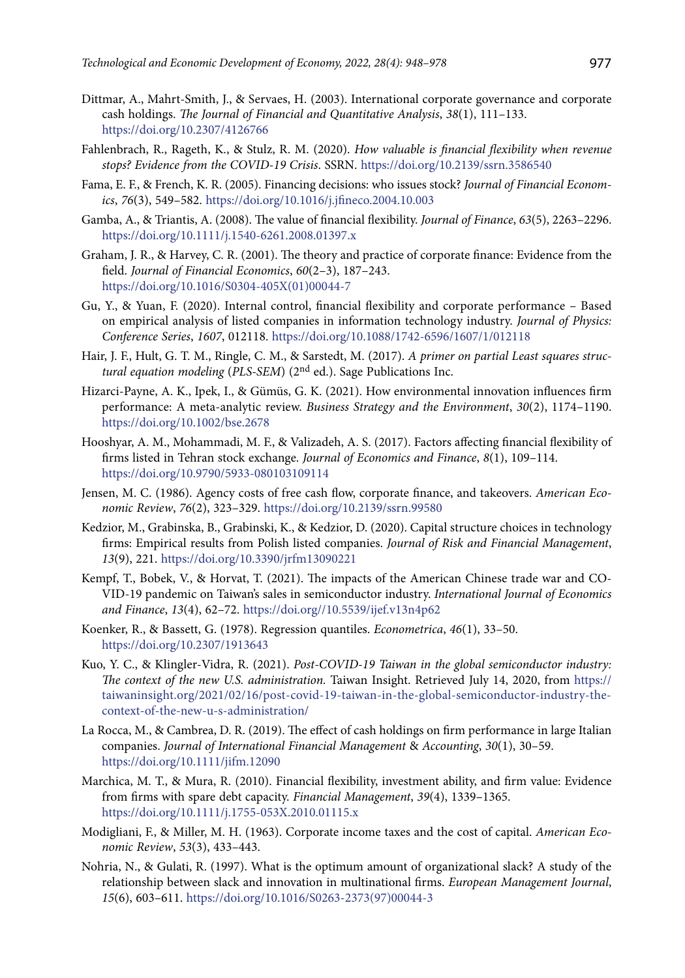- Dittmar, A., Mahrt-Smith, J., & Servaes, H. (2003). International corporate governance and corporate cash holdings. *The Journal of Financial and Quantitative Analysis*, *38*(1), 111–133. <https://doi.org/10.2307/4126766>
- Fahlenbrach, R., Rageth, K., & Stulz, R. M. (2020). *How valuable is financial flexibility when revenue stops? Evidence from the COVID-19 Crisis*. SSRN. <https://doi.org/10.2139/ssrn.3586540>
- Fama, E. F., & French, K. R. (2005). Financing decisions: who issues stock? *Journal of Financial Economics*, *76*(3), 549–582. <https://doi.org/10.1016/j.jfineco.2004.10.003>
- Gamba, A., & Triantis, A. (2008). The value of financial flexibility. *Journal of Finance*, *63*(5), 2263–2296. <https://doi.org/10.1111/j.1540-6261.2008.01397.x>
- Graham, J. R., & Harvey, C. R. (2001). The theory and practice of corporate finance: Evidence from the field. *Journal of Financial Economics*, *60*(2–3), 187–243. [https://doi.org/10.1016/S0304-405X\(01\)00044-7](https://doi.org/10.1016/S0304-405X(01)00044-7)
- Gu, Y., & Yuan, F. (2020). Internal control, financial flexibility and corporate performance Based on empirical analysis of listed companies in information technology industry. *Journal of Physics: Conference Series*, *1607*, 012118. <https://doi.org/10.1088/1742-6596/1607/1/012118>
- Hair, J. F., Hult, G. T. M., Ringle, C. M., & Sarstedt, M. (2017). *A primer on partial Least squares structural equation modeling* (*PLS-SEM*) (2nd ed.). Sage Publications Inc.
- Hizarci-Payne, A. K., Ipek, I., & Gümüs, G. K. (2021). How environmental innovation influences firm performance: A meta-analytic review. *Business Strategy and the Environment*, *30*(2), 1174–1190. <https://doi.org/10.1002/bse.2678>
- Hooshyar, A. M., Mohammadi, M. F., & Valizadeh, A. S. (2017). Factors affecting financial flexibility of firms listed in Tehran stock exchange. *Journal of Economics and Finance*, *8*(1), 109–114. <https://doi.org/10.9790/5933-080103109114>
- Jensen, M. C. (1986). Agency costs of free cash flow, corporate finance, and takeovers. *American Economic Review*, *76*(2), 323–329.<https://doi.org/10.2139/ssrn.99580>
- Kedzior, M., Grabinska, B., Grabinski, K., & Kedzior, D. (2020). Capital structure choices in technology firms: Empirical results from Polish listed companies. *Journal of Risk and Financial Management*, *13*(9), 221. https://doi.org/10.3390/jrfm13090221
- Kempf, T., Bobek, V., & Horvat, T. (2021). The impacts of the American Chinese trade war and CO-VID-19 pandemic on Taiwan's sales in semiconductor industry. *International Journal of Economics and Finance*, *13*(4), 62–72. <https://doi.org//10.5539/ijef.v13n4p62>
- Koenker, R., & Bassett, G. (1978). Regression quantiles. *Econometrica*, *46*(1), 33–50. <https://doi.org/10.2307/1913643>
- Kuo, Y. C., & Klingler-Vidra, R. (2021). *Post-COVID-19 Taiwan in the global semiconductor industry: The context of the new U.S. administration.* Taiwan Insight. Retrieved July 14, 2020, from [https://](https://taiwaninsight.org/2021/02/16/post-covid-19-taiwan-in-the-global-semiconductor-industry-the-context-of-the-new-u-s-administration/) [taiwaninsight.org/2021/02/16/post-covid-19-taiwan-in-the-global-semiconductor-industry-the](https://taiwaninsight.org/2021/02/16/post-covid-19-taiwan-in-the-global-semiconductor-industry-the-context-of-the-new-u-s-administration/)[context-of-the-new-u-s-administration/](https://taiwaninsight.org/2021/02/16/post-covid-19-taiwan-in-the-global-semiconductor-industry-the-context-of-the-new-u-s-administration/)
- La Rocca, M., & Cambrea, D. R. (2019). The effect of cash holdings on firm performance in large Italian companies. *Journal of International Financial Management* & *Accounting*, *30*(1), 30–59. <https://doi.org/10.1111/jifm.12090>
- Marchica, M. T., & Mura, R. (2010). Financial flexibility, investment ability, and firm value: Evidence from firms with spare debt capacity. *Financial Management*, *39*(4), 1339–1365. <https://doi.org/10.1111/j.1755-053X.2010.01115.x>
- Modigliani, F., & Miller, M. H. (1963). Corporate income taxes and the cost of capital. *American Economic Review*, *53*(3), 433–443.
- Nohria, N., & Gulati, R. (1997). What is the optimum amount of organizational slack? A study of the relationship between slack and innovation in multinational firms. *European Management Journal*, *15*(6), 603–611. [https://doi.org/10.1016/S0263-2373\(97\)00044-3](https://doi.org/10.1016/S0263-2373(97)00044-3)